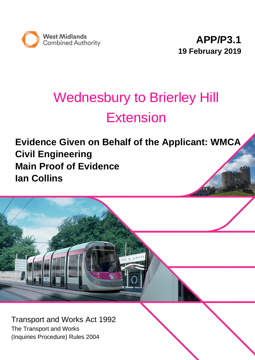

# Wednesbury to Brierley Hill Extension

**Evidence Given on Behalf of the Applicant: WMCA Civil Engineering Main Proof of Evidence Ian Collins**



Transport and Works Act 1992 The Transport and Works (Inquiries Procedure) Rules 2004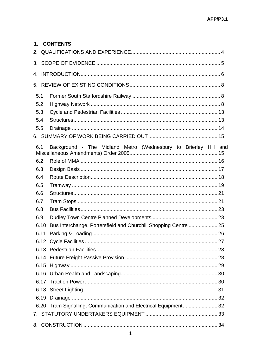| 1.   | <b>CONTENTS</b>                                                 |  |
|------|-----------------------------------------------------------------|--|
| 2.   |                                                                 |  |
|      |                                                                 |  |
| 4.   |                                                                 |  |
|      |                                                                 |  |
| 5.1  |                                                                 |  |
| 5.2  |                                                                 |  |
| 5.3  |                                                                 |  |
| 5.4  |                                                                 |  |
| 5.5  |                                                                 |  |
|      |                                                                 |  |
| 6.1  | Background - The Midland Metro (Wednesbury to Brierley Hill and |  |
| 6.2  |                                                                 |  |
| 6.3  |                                                                 |  |
| 6.4  |                                                                 |  |
| 6.5  |                                                                 |  |
| 6.6  |                                                                 |  |
| 6.7  |                                                                 |  |
| 6.8  |                                                                 |  |
| 6.9  |                                                                 |  |
| 6.10 | Bus Interchange, Portersfield and Churchill Shopping Centre  25 |  |
|      |                                                                 |  |
|      |                                                                 |  |
|      |                                                                 |  |
|      |                                                                 |  |
|      |                                                                 |  |
|      |                                                                 |  |
|      |                                                                 |  |
|      |                                                                 |  |
|      |                                                                 |  |
|      | 6.20 Tram Signalling, Communication and Electrical Equipment 32 |  |
|      |                                                                 |  |
|      |                                                                 |  |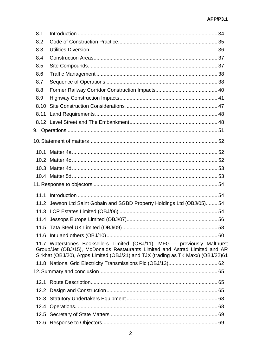| 8.1  |                                                                                                                                                                                                                                              |  |
|------|----------------------------------------------------------------------------------------------------------------------------------------------------------------------------------------------------------------------------------------------|--|
| 8.2  |                                                                                                                                                                                                                                              |  |
| 8.3  |                                                                                                                                                                                                                                              |  |
| 8.4  |                                                                                                                                                                                                                                              |  |
| 8.5  |                                                                                                                                                                                                                                              |  |
| 8.6  |                                                                                                                                                                                                                                              |  |
| 8.7  |                                                                                                                                                                                                                                              |  |
| 8.8  |                                                                                                                                                                                                                                              |  |
| 8.9  |                                                                                                                                                                                                                                              |  |
| 8.10 |                                                                                                                                                                                                                                              |  |
| 8.11 |                                                                                                                                                                                                                                              |  |
|      |                                                                                                                                                                                                                                              |  |
|      |                                                                                                                                                                                                                                              |  |
|      |                                                                                                                                                                                                                                              |  |
|      |                                                                                                                                                                                                                                              |  |
|      |                                                                                                                                                                                                                                              |  |
|      |                                                                                                                                                                                                                                              |  |
|      |                                                                                                                                                                                                                                              |  |
|      |                                                                                                                                                                                                                                              |  |
|      |                                                                                                                                                                                                                                              |  |
|      | 11.2 Jewson Ltd Saint Gobain and SGBD Property Holdings Ltd (OBJ/05) 54                                                                                                                                                                      |  |
|      |                                                                                                                                                                                                                                              |  |
|      |                                                                                                                                                                                                                                              |  |
|      |                                                                                                                                                                                                                                              |  |
|      |                                                                                                                                                                                                                                              |  |
|      | 11.7 Waterstones Booksellers Limited (OBJ/11), MFG - previously Malthurst<br>Group/Jet (OBJ/15), McDonalds Restaurants Limited and Astrad Limited and AR<br>Sirkhat (OBJ/20), Argos Limited (OBJ/21) and TJX (trading as TK Maxx) (OBJ/22)61 |  |
|      |                                                                                                                                                                                                                                              |  |
|      |                                                                                                                                                                                                                                              |  |
|      |                                                                                                                                                                                                                                              |  |
| 12.2 |                                                                                                                                                                                                                                              |  |
|      |                                                                                                                                                                                                                                              |  |
|      |                                                                                                                                                                                                                                              |  |
|      |                                                                                                                                                                                                                                              |  |
|      |                                                                                                                                                                                                                                              |  |
|      |                                                                                                                                                                                                                                              |  |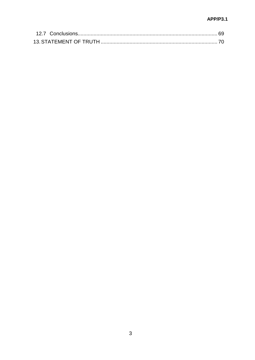## **APP/P3.1**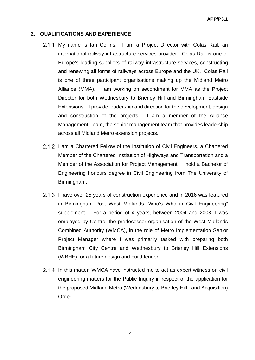## **2. QUALIFICATIONS AND EXPERIENCE**

- 2.1.1 My name is Ian Collins. I am a Project Director with Colas Rail, an international railway infrastructure services provider. Colas Rail is one of Europe's leading suppliers of railway infrastructure services, constructing and renewing all forms of railways across Europe and the UK. Colas Rail is one of three participant organisations making up the Midland Metro Alliance (MMA). I am working on secondment for MMA as the Project Director for both Wednesbury to Brierley Hill and Birmingham Eastside Extensions. I provide leadership and direction for the development, design and construction of the projects. I am a member of the Alliance Management Team, the senior management team that provides leadership across all Midland Metro extension projects.
- 2.1.2 I am a Chartered Fellow of the Institution of Civil Engineers, a Chartered Member of the Chartered Institution of Highways and Transportation and a Member of the Association for Project Management. I hold a Bachelor of Engineering honours degree in Civil Engineering from The University of Birmingham.
- 2.1.3 I have over 25 years of construction experience and in 2016 was featured in Birmingham Post West Midlands "Who's Who in Civil Engineering" supplement. For a period of 4 years, between 2004 and 2008, I was employed by Centro, the predecessor organisation of the West Midlands Combined Authority (WMCA), in the role of Metro Implementation Senior Project Manager where I was primarily tasked with preparing both Birmingham City Centre and Wednesbury to Brierley Hill Extensions (WBHE) for a future design and build tender.
- 2.1.4 In this matter, WMCA have instructed me to act as expert witness on civil engineering matters for the Public Inquiry in respect of the application for the proposed Midland Metro (Wednesbury to Brierley Hill Land Acquisition) Order.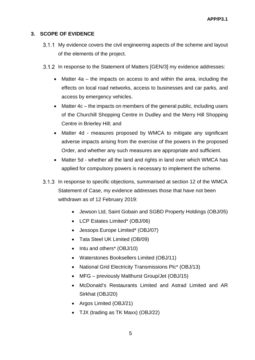## **3. SCOPE OF EVIDENCE**

- 3.1.1 My evidence covers the civil engineering aspects of the scheme and layout of the elements of the project.
- 3.1.2 In response to the Statement of Matters [GEN/3] my evidence addresses:
	- Matter 4a the impacts on access to and within the area, including the effects on local road networks, access to businesses and car parks, and access by emergency vehicles.
	- Matter 4c the impacts on members of the general public, including users of the Churchill Shopping Centre in Dudley and the Merry Hill Shopping Centre in Brierley Hill; and
	- Matter 4d measures proposed by WMCA to mitigate any significant adverse impacts arising from the exercise of the powers in the proposed Order, and whether any such measures are appropriate and sufficient.
	- Matter 5d whether all the land and rights in land over which WMCA has applied for compulsory powers is necessary to implement the scheme.
- 3.1.3 In response to specific objections, summarised at section 12 of the WMCA Statement of Case, my evidence addresses those that have not been withdrawn as of 12 February 2019:
	- Jewson Ltd, Saint Gobain and SGBD Property Holdings (OBJ/05)
	- LCP Estates Limited\* (OBJ/06)
	- Jessops Europe Limited\* (OBJ/07)
	- Tata Steel UK Limited (OB/09)
	- Intu and others<sup>\*</sup> (OBJ/10)
	- Waterstones Booksellers Limited (OBJ/11)
	- National Grid Electricity Transmissions Plc\* (OBJ/13)
	- MFG previously Malthurst Group/Jet (OBJ/15)
	- McDonald's Restaurants Limited and Astrad Limited and AR Sirkhat (OBJ/20)
	- Argos Limited (OBJ/21)
	- TJX (trading as TK Maxx) (OBJ/22)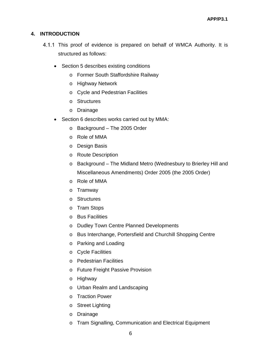## **4. INTRODUCTION**

- 4.1.1 This proof of evidence is prepared on behalf of WMCA Authority. It is structured as follows:
	- Section 5 describes existing conditions
		- o Former South Staffordshire Railway
		- o Highway Network
		- o Cycle and Pedestrian Facilities
		- o Structures
		- o Drainage
	- Section 6 describes works carried out by MMA:
		- o Background The 2005 Order
		- o Role of MMA
		- o Design Basis
		- o Route Description
		- o Background The Midland Metro (Wednesbury to Brierley Hill and Miscellaneous Amendments) Order 2005 (the 2005 Order)
		- o Role of MMA
		- o Tramway
		- o Structures
		- o Tram Stops
		- o Bus Facilities
		- o Dudley Town Centre Planned Developments
		- o Bus Interchange, Portersfield and Churchill Shopping Centre
		- o Parking and Loading
		- o Cycle Facilities
		- o Pedestrian Facilities
		- o Future Freight Passive Provision
		- o Highway
		- o Urban Realm and Landscaping
		- o Traction Power
		- o Street Lighting
		- o Drainage
		- o Tram Signalling, Communication and Electrical Equipment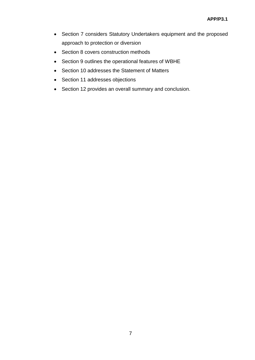- Section 7 considers Statutory Undertakers equipment and the proposed approach to protection or diversion
- Section 8 covers construction methods
- Section 9 outlines the operational features of WBHE
- Section 10 addresses the Statement of Matters
- Section 11 addresses objections
- Section 12 provides an overall summary and conclusion.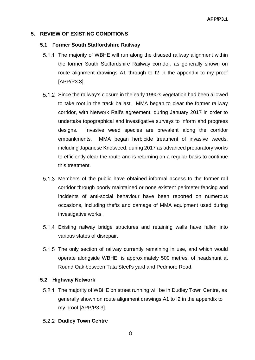## **5. REVIEW OF EXISTING CONDITIONS**

## **5.1 Former South Staffordshire Railway**

- 5.1.1 The majority of WBHE will run along the disused railway alignment within the former South Staffordshire Railway corridor, as generally shown on route alignment drawings A1 through to I2 in the appendix to my proof [APP/P3.3].
- Since the railway's closure in the early 1990's vegetation had been allowed to take root in the track ballast. MMA began to clear the former railway corridor, with Network Rail's agreement, during January 2017 in order to undertake topographical and investigative surveys to inform and progress designs. Invasive weed species are prevalent along the corridor embankments. MMA began herbicide treatment of invasive weeds, including Japanese Knotweed, during 2017 as advanced preparatory works to efficiently clear the route and is returning on a regular basis to continue this treatment.
- Members of the public have obtained informal access to the former rail corridor through poorly maintained or none existent perimeter fencing and incidents of anti-social behaviour have been reported on numerous occasions, including thefts and damage of MMA equipment used during investigative works.
- Existing railway bridge structures and retaining walls have fallen into various states of disrepair.
- 5.1.5 The only section of railway currently remaining in use, and which would operate alongside WBHE, is approximately 500 metres, of headshunt at Round Oak between Tata Steel's yard and Pedmore Road.

## **5.2 Highway Network**

5.2.1 The majority of WBHE on street running will be in Dudley Town Centre, as generally shown on route alignment drawings A1 to I2 in the appendix to my proof [APP/P3.3].

## **5.2.2 Dudley Town Centre**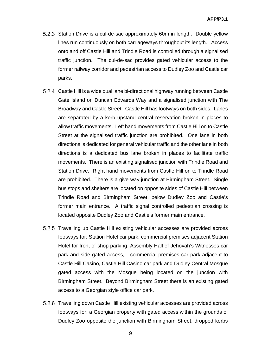- Station Drive is a cul-de-sac approximately 60m in length. Double yellow lines run continuously on both carriageways throughout its length. Access onto and off Castle Hill and Trindle Road is controlled through a signalised traffic junction. The cul-de-sac provides gated vehicular access to the former railway corridor and pedestrian access to Dudley Zoo and Castle car parks.
- Castle Hill is a wide dual lane bi-directional highway running between Castle Gate Island on Duncan Edwards Way and a signalised junction with The Broadway and Castle Street. Castle Hill has footways on both sides. Lanes are separated by a kerb upstand central reservation broken in places to allow traffic movements. Left hand movements from Castle Hill on to Castle Street at the signalised traffic junction are prohibited. One lane in both directions is dedicated for general vehicular traffic and the other lane in both directions is a dedicated bus lane broken in places to facilitate traffic movements. There is an existing signalised junction with Trindle Road and Station Drive. Right hand movements from Castle Hill on to Trindle Road are prohibited. There is a give way junction at Birmingham Street. Single bus stops and shelters are located on opposite sides of Castle Hill between Trindle Road and Birmingham Street, below Dudley Zoo and Castle's former main entrance. A traffic signal controlled pedestrian crossing is located opposite Dudley Zoo and Castle's former main entrance.
- 5.2.5 Travelling up Castle Hill existing vehicular accesses are provided across footways for; Station Hotel car park, commercial premises adjacent Station Hotel for front of shop parking, Assembly Hall of Jehovah's Witnesses car park and side gated access, commercial premises car park adjacent to Castle Hill Casino, Castle Hill Casino car park and Dudley Central Mosque gated access with the Mosque being located on the junction with Birmingham Street. Beyond Birmingham Street there is an existing gated access to a Georgian style office car park.
- Travelling down Castle Hill existing vehicular accesses are provided across footways for; a Georgian property with gated access within the grounds of Dudley Zoo opposite the junction with Birmingham Street, dropped kerbs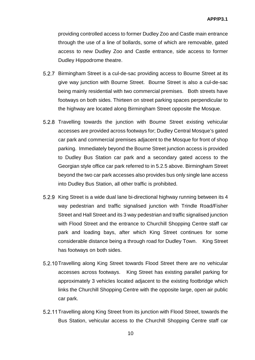providing controlled access to former Dudley Zoo and Castle main entrance through the use of a line of bollards, some of which are removable, gated access to new Dudley Zoo and Castle entrance, side access to former Dudley Hippodrome theatre.

- Birmingham Street is a cul-de-sac providing access to Bourne Street at its give way junction with Bourne Street. Bourne Street is also a cul-de-sac being mainly residential with two commercial premises. Both streets have footways on both sides. Thirteen on street parking spaces perpendicular to the highway are located along Birmingham Street opposite the Mosque.
- 5.2.8 Travelling towards the junction with Bourne Street existing vehicular accesses are provided across footways for; Dudley Central Mosque's gated car park and commercial premises adjacent to the Mosque for front of shop parking. Immediately beyond the Bourne Street junction access is provided to Dudley Bus Station car park and a secondary gated access to the Georgian style office car park referred to in 5.2.5 above. Birmingham Street beyond the two car park accesses also provides bus only single lane access into Dudley Bus Station, all other traffic is prohibited.
- 5.2.9 King Street is a wide dual lane bi-directional highway running between its 4 way pedestrian and traffic signalised junction with Trindle Road/Fisher Street and Hall Street and its 3 way pedestrian and traffic signalised junction with Flood Street and the entrance to Churchill Shopping Centre staff car park and loading bays, after which King Street continues for some considerable distance being a through road for Dudley Town. King Street has footways on both sides.
- 5.2.10 Travelling along King Street towards Flood Street there are no vehicular accesses across footways. King Street has existing parallel parking for approximately 3 vehicles located adjacent to the existing footbridge which links the Churchill Shopping Centre with the opposite large, open air public car park.
- 5.2.11 Travelling along King Street from its junction with Flood Street, towards the Bus Station, vehicular access to the Churchill Shopping Centre staff car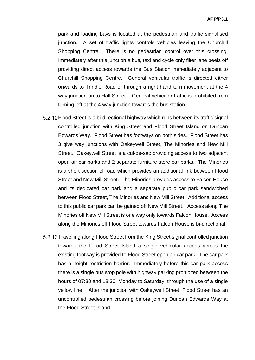park and loading bays is located at the pedestrian and traffic signalised junction. A set of traffic lights controls vehicles leaving the Churchill Shopping Centre. There is no pedestrian control over this crossing. Immediately after this junction a bus, taxi and cycle only filter lane peels off providing direct access towards the Bus Station immediately adjacent to Churchill Shopping Centre. General vehicular traffic is directed either onwards to Trindle Road or through a right hand turn movement at the 4 way junction on to Hall Street. General vehicular traffic is prohibited from turning left at the 4 way junction towards the bus station.

- 5.2.12 Flood Street is a bi-directional highway which runs between its traffic signal controlled junction with King Street and Flood Street Island on Duncan Edwards Way. Flood Street has footways on both sides. Flood Street has 3 give way junctions with Oakeywell Street, The Minories and New Mill Street. Oakeywell Street is a cul-de-sac providing access to two adjacent open air car parks and 2 separate furniture store car parks. The Minories is a short section of road which provides an additional link between Flood Street and New Mill Street. The Minories provides access to Falcon House and its dedicated car park and a separate public car park sandwiched between Flood Street, The Minories and New Mill Street. Additional access to this public car park can be gained off New Mill Street. Access along The Minories off New Mill Street is one way only towards Falcon House. Access along the Minories off Flood Street towards Falcon House is bi-directional.
- Travelling along Flood Street from the King Street signal controlled junction towards the Flood Street Island a single vehicular access across the existing footway is provided to Flood Street open air car park. The car park has a height restriction barrier. Immediately before this car park access there is a single bus stop pole with highway parking prohibited between the hours of 07:30 and 18:30, Monday to Saturday, through the use of a single yellow line. After the junction with Oakeywell Street, Flood Street has an uncontrolled pedestrian crossing before joining Duncan Edwards Way at the Flood Street Island.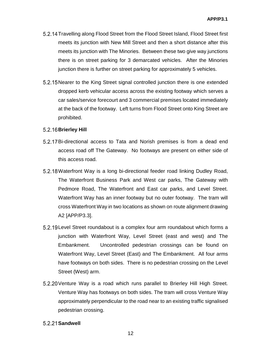- 5.2.14 Travelling along Flood Street from the Flood Street Island, Flood Street first meets its junction with New Mill Street and then a short distance after this meets its junction with The Minories. Between these two give way junctions there is on street parking for 3 demarcated vehicles. After the Minories junction there is further on street parking for approximately 5 vehicles.
- 5.2.15 Nearer to the King Street signal controlled junction there is one extended dropped kerb vehicular access across the existing footway which serves a car sales/service forecourt and 3 commercial premises located immediately at the back of the footway. Left turns from Flood Street onto King Street are prohibited.

## **Brierley Hill**

- Bi-directional access to Tata and Norish premises is from a dead end access road off The Gateway. No footways are present on either side of this access road.
- 5.2.18 Waterfront Way is a long bi-directional feeder road linking Dudley Road, The Waterfront Business Park and West car parks, The Gateway with Pedmore Road, The Waterfront and East car parks, and Level Street. Waterfront Way has an inner footway but no outer footway. The tram will cross Waterfront Way in two locations as shown on route alignment drawing A2 [APP/P3.3].
- 5.2.19 Level Street roundabout is a complex four arm roundabout which forms a junction with Waterfront Way, Level Street (east and west) and The Embankment. Uncontrolled pedestrian crossings can be found on Waterfront Way, Level Street (East) and The Embankment. All four arms have footways on both sides. There is no pedestrian crossing on the Level Street (West) arm.
- 5.2.20 Venture Way is a road which runs parallel to Brierley Hill High Street. Venture Way has footways on both sides. The tram will cross Venture Way approximately perpendicular to the road near to an existing traffic signalised pedestrian crossing.

## **Sandwell**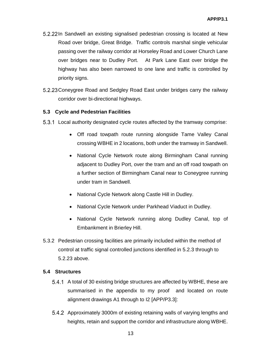- 5.2.22 In Sandwell an existing signalised pedestrian crossing is located at New Road over bridge, Great Bridge. Traffic controls marshal single vehicular passing over the railway corridor at Horseley Road and Lower Church Lane over bridges near to Dudley Port. At Park Lane East over bridge the highway has also been narrowed to one lane and traffic is controlled by priority signs.
- 5.2.23 Coneygree Road and Sedgley Road East under bridges carry the railway corridor over bi-directional highways.

## **5.3 Cycle and Pedestrian Facilities**

- Local authority designated cycle routes affected by the tramway comprise:
	- Off road towpath route running alongside Tame Valley Canal crossing WBHE in 2 locations, both under the tramway in Sandwell.
	- National Cycle Network route along Birmingham Canal running adjacent to Dudley Port, over the tram and an off road towpath on a further section of Birmingham Canal near to Coneygree running under tram in Sandwell.
	- National Cycle Network along Castle Hill in Dudley.
	- National Cycle Network under Parkhead Viaduct in Dudley.
	- National Cycle Network running along Dudley Canal, top of Embankment in Brierley Hill.
- 5.3.2 Pedestrian crossing facilities are primarily included within the method of control at traffic signal controlled junctions identified in 5.2.3 through to 5.2.23 above.

#### **5.4 Structures**

- 5.4.1 A total of 30 existing bridge structures are affected by WBHE, these are summarised in the appendix to my proof and located on route alignment drawings A1 through to I2 [APP/P3.3]:
- 5.4.2 Approximately 3000m of existing retaining walls of varying lengths and heights, retain and support the corridor and infrastructure along WBHE.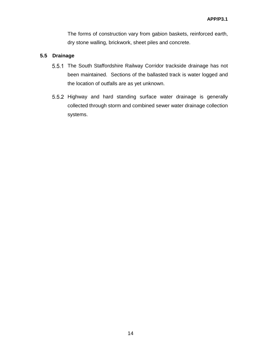The forms of construction vary from gabion baskets, reinforced earth, dry stone walling, brickwork, sheet piles and concrete.

## **5.5 Drainage**

- 5.5.1 The South Staffordshire Railway Corridor trackside drainage has not been maintained. Sections of the ballasted track is water logged and the location of outfalls are as yet unknown.
- 5.5.2 Highway and hard standing surface water drainage is generally collected through storm and combined sewer water drainage collection systems.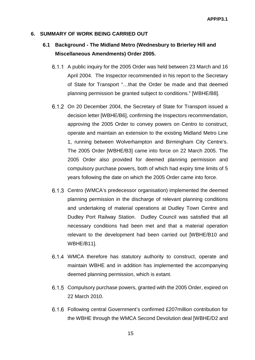## **6. SUMMARY OF WORK BEING CARRIED OUT**

## **6.1 Background - The Midland Metro (Wednesbury to Brierley Hill and Miscellaneous Amendments) Order 2005.**

- 6.1.1 A public inquiry for the 2005 Order was held between 23 March and 16 April 2004. The Inspector recommended in his report to the Secretary of State for Transport "…that the Order be made and that deemed planning permission be granted subject to conditions." [WBHE/B8].
- 6.1.2 On 20 December 2004, the Secretary of State for Transport issued a decision letter [WBHE/B6], confirming the Inspectors recommendation, approving the 2005 Order to convey powers on Centro to construct, operate and maintain an extension to the existing Midland Metro Line 1, running between Wolverhampton and Birmingham City Centre's. The 2005 Order [WBHE/B3] came into force on 22 March 2005. The 2005 Order also provided for deemed planning permission and compulsory purchase powers, both of which had expiry time limits of 5 years following the date on which the 2005 Order came into force.
- 6.1.3 Centro (WMCA's predecessor organisation) implemented the deemed planning permission in the discharge of relevant planning conditions and undertaking of material operations at Dudley Town Centre and Dudley Port Railway Station. Dudley Council was satisfied that all necessary conditions had been met and that a material operation relevant to the development had been carried out [WBHE/B10 and WBHE/B11].
- WMCA therefore has statutory authority to construct, operate and maintain WBHE and in addition has implemented the accompanying deemed planning permission, which is extant.
- 6.1.5 Compulsory purchase powers, granted with the 2005 Order, expired on 22 March 2010.
- Following central Government's confirmed £207million contribution for the WBHE through the WMCA Second Devolution deal [WBHE/D2 and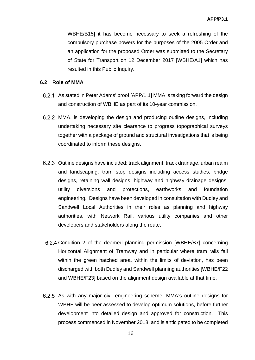WBHE/B15] it has become necessary to seek a refreshing of the compulsory purchase powers for the purposes of the 2005 Order and an application for the proposed Order was submitted to the Secretary of State for Transport on 12 December 2017 [WBHE/A1] which has resulted in this Public Inquiry.

## **6.2 Role of MMA**

- As stated in Peter Adams' proof [APP/1.1] MMA is taking forward the design and construction of WBHE as part of its 10-year commission.
- MMA, is developing the design and producing outline designs, including undertaking necessary site clearance to progress topographical surveys together with a package of ground and structural investigations that is being coordinated to inform these designs.
- 6.2.3 Outline designs have included; track alignment, track drainage, urban realm and landscaping, tram stop designs including access studies, bridge designs, retaining wall designs, highway and highway drainage designs, utility diversions and protections, earthworks and foundation engineering. Designs have been developed in consultation with Dudley and Sandwell Local Authorities in their roles as planning and highway authorities, with Network Rail, various utility companies and other developers and stakeholders along the route.
- 6.2.4 Condition 2 of the deemed planning permission [WBHE/B7] concerning Horizontal Alignment of Tramway and in particular where tram rails fall within the green hatched area, within the limits of deviation, has been discharged with both Dudley and Sandwell planning authorities [WBHE/F22 and WBHE/F23] based on the alignment design available at that time.
- 6.2.5 As with any major civil engineering scheme, MMA's outline designs for WBHE will be peer assessed to develop optimum solutions, before further development into detailed design and approved for construction. This process commenced in November 2018, and is anticipated to be completed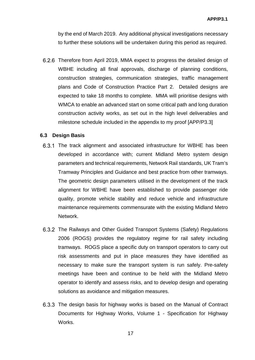by the end of March 2019. Any additional physical investigations necessary to further these solutions will be undertaken during this period as required.

Therefore from April 2019, MMA expect to progress the detailed design of WBHE including all final approvals, discharge of planning conditions, construction strategies, communication strategies, traffic management plans and Code of Construction Practice Part 2. Detailed designs are expected to take 18 months to complete. MMA will prioritise designs with WMCA to enable an advanced start on some critical path and long duration construction activity works, as set out in the high level deliverables and milestone schedule included in the appendix to my proof [APP/P3.3]

#### **6.3 Design Basis**

- 6.3.1 The track alignment and associated infrastructure for WBHE has been developed in accordance with; current Midland Metro system design parameters and technical requirements, Network Rail standards, UK Tram's Tramway Principles and Guidance and best practice from other tramways. The geometric design parameters utilised in the development of the track alignment for WBHE have been established to provide passenger ride quality, promote vehicle stability and reduce vehicle and infrastructure maintenance requirements commensurate with the existing Midland Metro Network.
- The Railways and Other Guided Transport Systems (Safety) Regulations 2006 (ROGS) provides the regulatory regime for rail safety including tramways. ROGS place a specific duty on transport operators to carry out risk assessments and put in place measures they have identified as necessary to make sure the transport system is run safely. Pre-safety meetings have been and continue to be held with the Midland Metro operator to identify and assess risks, and to develop design and operating solutions as avoidance and mitigation measures.
- The design basis for highway works is based on the Manual of Contract Documents for Highway Works, Volume 1 - Specification for Highway Works.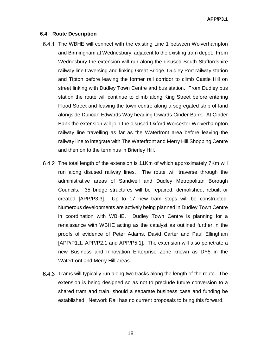#### **6.4 Route Description**

- 6.4.1 The WBHE will connect with the existing Line 1 between Wolverhampton and Birmingham at Wednesbury, adjacent to the existing tram depot. From Wednesbury the extension will run along the disused South Staffordshire railway line traversing and linking Great Bridge, Dudley Port railway station and Tipton before leaving the former rail corridor to climb Castle Hill on street linking with Dudley Town Centre and bus station. From Dudley bus station the route will continue to climb along King Street before entering Flood Street and leaving the town centre along a segregated strip of land alongside Duncan Edwards Way heading towards Cinder Bank. At Cinder Bank the extension will join the disused Oxford Worcester Wolverhampton railway line travelling as far as the Waterfront area before leaving the railway line to integrate with The Waterfront and Merry Hill Shopping Centre and then on to the terminus in Brierley Hill.
- The total length of the extension is 11Km of which approximately 7Km will run along disused railway lines. The route will traverse through the administrative areas of Sandwell and Dudley Metropolitan Borough Councils. 35 bridge structures will be repaired, demolished, rebuilt or created [APP/P3.3]. Up to 17 new tram stops will be constructed. Numerous developments are actively being planned in Dudley Town Centre in coordination with WBHE. Dudley Town Centre is planning for a renaissance with WBHE acting as the catalyst as outlined further in the proofs of evidence of Peter Adams, David Carter and Paul Ellingham [APP/P1.1, APP/P2.1 and APP/P5.1]. The extension will also penetrate a new Business and Innovation Enterprise Zone known as DY5 in the Waterfront and Merry Hill areas.
- 6.4.3 Trams will typically run along two tracks along the length of the route. The extension is being designed so as not to preclude future conversion to a shared tram and train, should a separate business case and funding be established. Network Rail has no current proposals to bring this forward.

18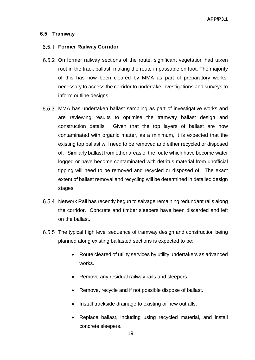## **6.5 Tramway**

#### **Former Railway Corridor**

- 6.5.2 On former railway sections of the route, significant vegetation had taken root in the track ballast, making the route impassable on foot. The majority of this has now been cleared by MMA as part of preparatory works, necessary to access the corridor to undertake investigations and surveys to inform outline designs.
- MMA has undertaken ballast sampling as part of investigative works and are reviewing results to optimise the tramway ballast design and construction details. Given that the top layers of ballast are now contaminated with organic matter, as a minimum, it is expected that the existing top ballast will need to be removed and either recycled or disposed of. Similarly ballast from other areas of the route which have become water logged or have become contaminated with detritus material from unofficial tipping will need to be removed and recycled or disposed of. The exact extent of ballast removal and recycling will be determined in detailed design stages.
- 6.5.4 Network Rail has recently begun to salvage remaining redundant rails along the corridor. Concrete and timber sleepers have been discarded and left on the ballast.
- The typical high level sequence of tramway design and construction being planned along existing ballasted sections is expected to be:
	- Route cleared of utility services by utility undertakers as advanced works.
	- Remove any residual railway rails and sleepers.
	- Remove, recycle and if not possible dispose of ballast.
	- Install trackside drainage to existing or new outfalls.
	- Replace ballast, including using recycled material, and install concrete sleepers.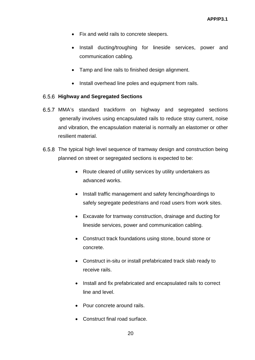- Fix and weld rails to concrete sleepers.
- Install ducting/troughing for lineside services, power and communication cabling.
- Tamp and line rails to finished design alignment.
- Install overhead line poles and equipment from rails.

## **Highway and Segregated Sections**

- MMA's standard trackform on highway and segregated sections generally involves using encapsulated rails to reduce stray current, noise and vibration, the encapsulation material is normally an elastomer or other resilient material.
- The typical high level sequence of tramway design and construction being planned on street or segregated sections is expected to be:
	- Route cleared of utility services by utility undertakers as advanced works.
	- Install traffic management and safety fencing/hoardings to safely segregate pedestrians and road users from work sites.
	- Excavate for tramway construction, drainage and ducting for lineside services, power and communication cabling.
	- Construct track foundations using stone, bound stone or concrete.
	- Construct in-situ or install prefabricated track slab ready to receive rails.
	- Install and fix prefabricated and encapsulated rails to correct line and level.
	- Pour concrete around rails.
	- Construct final road surface.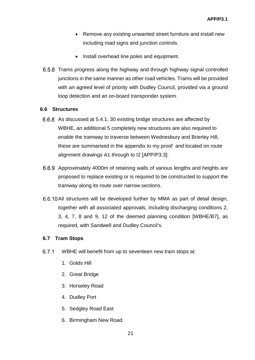- Remove any existing unwanted street furniture and install new including road signs and junction controls.
- Install overhead line poles and equipment.
- 6.5.8 Trams progress along the highway and through highway signal controlled junctions in the same manner as other road vehicles. Trams will be provided with an agreed level of priority with Dudley Council, provided via a ground loop detection and an on-board transponder system.

## **6.6 Structures**

- 6.6.8 As discussed at 5.4.1, 30 existing bridge structures are affected by WBHE, an additional 5 completely new structures are also required to enable the tramway to traverse between Wednesbury and Brierley Hill, these are summarised in the appendix to my proof and located on route alignment drawings A1 through to I2 [APP/P3.3]:
- Approximately 4000m of retaining walls of various lengths and heights are proposed to replace existing or is required to be constructed to support the tramway along its route over narrow sections.
- 6.6.10 All structures will be developed further by MMA as part of detail design, together with all associated approvals, including discharging conditions 2, 3, 4, 7, 8 and 9, 12 of the deemed planning condition [WBHE/B7], as required, with Sandwell and Dudley Council's.

## **6.7 Tram Stops**

- $6.7.1$ WBHE will benefit from up to seventeen new tram stops at:
	- 1. Golds Hill
	- 2. Great Bridge
	- 3. Horseley Road
	- 4. Dudley Port
	- 5. Sedgley Road East
	- 6. Birmingham New Road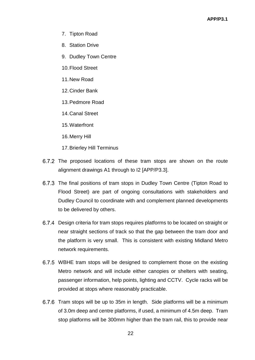- 7. Tipton Road
- 8. Station Drive
- 9. Dudley Town Centre
- 10.Flood Street
- 11.New Road
- 12.Cinder Bank
- 13.Pedmore Road
- 14.Canal Street
- 15.Waterfront
- 16.Merry Hill
- 17.Brierley Hill Terminus
- 6.7.2 The proposed locations of these tram stops are shown on the route alignment drawings A1 through to I2 [APP/P3.3].
- 6.7.3 The final positions of tram stops in Dudley Town Centre (Tipton Road to Flood Street) are part of ongoing consultations with stakeholders and Dudley Council to coordinate with and complement planned developments to be delivered by others.
- Design criteria for tram stops requires platforms to be located on straight or near straight sections of track so that the gap between the tram door and the platform is very small. This is consistent with existing Midland Metro network requirements.
- 6.7.5 WBHE tram stops will be designed to complement those on the existing Metro network and will include either canopies or shelters with seating, passenger information, help points, lighting and CCTV. Cycle racks will be provided at stops where reasonably practicable.
- 6.7.6 Tram stops will be up to 35m in length. Side platforms will be a minimum of 3.0m deep and centre platforms, if used, a minimum of 4.5m deep. Tram stop platforms will be 300mm higher than the tram rail, this to provide near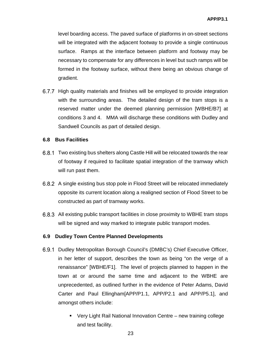level boarding access. The paved surface of platforms in on-street sections will be integrated with the adjacent footway to provide a single continuous surface. Ramps at the interface between platform and footway may be necessary to compensate for any differences in level but such ramps will be formed in the footway surface, without there being an obvious change of gradient.

6.7.7 High quality materials and finishes will be employed to provide integration with the surrounding areas. The detailed design of the tram stops is a reserved matter under the deemed planning permission [WBHE/B7] at conditions 3 and 4. MMA will discharge these conditions with Dudley and Sandwell Councils as part of detailed design.

## **6.8 Bus Facilities**

- Two existing bus shelters along Castle Hill will be relocated towards the rear of footway if required to facilitate spatial integration of the tramway which will run past them.
- A single existing bus stop pole in Flood Street will be relocated immediately opposite its current location along a realigned section of Flood Street to be constructed as part of tramway works.
- 6.8.3 All existing public transport facilities in close proximity to WBHE tram stops will be signed and way marked to integrate public transport modes.

## **6.9 Dudley Town Centre Planned Developments**

- 6.9.1 Dudley Metropolitan Borough Council's (DMBC's) Chief Executive Officer, in her letter of support, describes the town as being "on the verge of a renaissance" [WBHE/F1]. The level of projects planned to happen in the town at or around the same time and adjacent to the WBHE are unprecedented, as outlined further in the evidence of Peter Adams, David Carter and Paul Ellingham[APP/P1.1, APP/P2.1 and APP/P5.1], and amongst others include:
	- Very Light Rail National Innovation Centre new training college and test facility.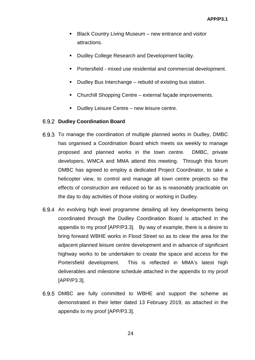- Black Country Living Museum new entrance and visitor attractions.
- Dudley College Research and Development facility.
- Portersfield mixed use residential and commercial development.
- Dudley Bus Interchange rebuild of existing bus station.
- Churchill Shopping Centre external façade improvements.
- **Dudley Leisure Centre new leisure centre.**

## **Dudley Coordination Board**

- 6.9.3 To manage the coordination of multiple planned works in Dudley, DMBC has organised a Coordination Board which meets six weekly to manage proposed and planned works in the town centre. DMBC, private developers, WMCA and MMA attend this meeting. Through this forum DMBC has agreed to employ a dedicated Project Coordinator, to take a helicopter view, to control and manage all town centre projects so the effects of construction are reduced so far as is reasonably practicable on the day to day activities of those visiting or working in Dudley.
- 6.9.4 An evolving high level programme detailing all key developments being coordinated through the Dudley Coordination Board is attached in the appendix to my proof [APP/P3.3]. By way of example, there is a desire to bring forward WBHE works in Flood Street so as to clear the area for the adjacent planned leisure centre development and in advance of significant highway works to be undertaken to create the space and access for the Portersfield development. This is reflected in MMA's latest high deliverables and milestone schedule attached in the appendix to my proof [APP/P3.3].
- 6.9.5 DMBC are fully committed to WBHE and support the scheme as demonstrated in their letter dated 13 February 2019, as attached in the appendix to my proof [APP/P3.3].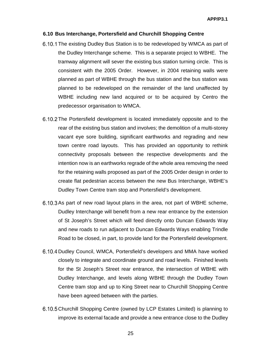#### **6.10 Bus Interchange, Portersfield and Churchill Shopping Centre**

- 6.10.1 The existing Dudley Bus Station is to be redeveloped by WMCA as part of the Dudley Interchange scheme. This is a separate project to WBHE. The tramway alignment will sever the existing bus station turning circle. This is consistent with the 2005 Order. However, in 2004 retaining walls were planned as part of WBHE through the bus station and the bus station was planned to be redeveloped on the remainder of the land unaffected by WBHE including new land acquired or to be acquired by Centro the predecessor organisation to WMCA.
- 6.10.2 The Portersfield development is located immediately opposite and to the rear of the existing bus station and involves; the demolition of a multi-storey vacant eye sore building, significant earthworks and regrading and new town centre road layouts. This has provided an opportunity to rethink connectivity proposals between the respective developments and the intention now is an earthworks regrade of the whole area removing the need for the retaining walls proposed as part of the 2005 Order design in order to create flat pedestrian access between the new Bus Interchange, WBHE's Dudley Town Centre tram stop and Portersfield's development.
- 6.10.3 As part of new road layout plans in the area, not part of WBHE scheme, Dudley Interchange will benefit from a new rear entrance by the extension of St Joseph's Street which will feed directly onto Duncan Edwards Way and new roads to run adjacent to Duncan Edwards Ways enabling Trindle Road to be closed, in part, to provide land for the Portersfield development.
- 6.10.4 Dudley Council, WMCA, Portersfield's developers and MMA have worked closely to integrate and coordinate ground and road levels. Finished levels for the St Joseph's Street rear entrance, the intersection of WBHE with Dudley Interchange, and levels along WBHE through the Dudley Town Centre tram stop and up to King Street near to Churchill Shopping Centre have been agreed between with the parties.
- 6.10.5 Churchill Shopping Centre (owned by LCP Estates Limited) is planning to improve its external facade and provide a new entrance close to the Dudley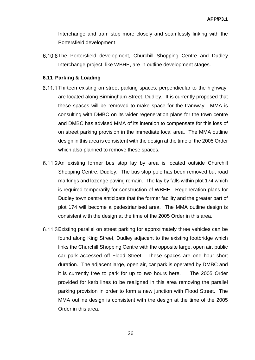Interchange and tram stop more closely and seamlessly linking with the Portersfield development

6.10.6 The Portersfield development, Churchill Shopping Centre and Dudley Interchange project, like WBHE, are in outline development stages.

## **6.11 Parking & Loading**

- 6.11.1 Thirteen existing on street parking spaces, perpendicular to the highway, are located along Birmingham Street, Dudley. It is currently proposed that these spaces will be removed to make space for the tramway. MMA is consulting with DMBC on its wider regeneration plans for the town centre and DMBC has advised MMA of its intention to compensate for this loss of on street parking provision in the immediate local area. The MMA outline design in this area is consistent with the design at the time of the 2005 Order which also planned to remove these spaces.
- 6.11.2 An existing former bus stop lay by area is located outside Churchill Shopping Centre, Dudley. The bus stop pole has been removed but road markings and lozenge paving remain. The lay by falls within plot 174 which is required temporarily for construction of WBHE. Regeneration plans for Dudley town centre anticipate that the former facility and the greater part of plot 174 will become a pedestrianised area. The MMA outline design is consistent with the design at the time of the 2005 Order in this area.
- Existing parallel on street parking for approximately three vehicles can be found along King Street, Dudley adjacent to the existing footbridge which links the Churchill Shopping Centre with the opposite large, open air, public car park accessed off Flood Street. These spaces are one hour short duration. The adjacent large, open air, car park is operated by DMBC and it is currently free to park for up to two hours here. The 2005 Order provided for kerb lines to be realigned in this area removing the parallel parking provision in order to form a new junction with Flood Street. The MMA outline design is consistent with the design at the time of the 2005 Order in this area.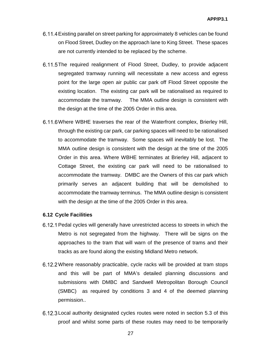- Existing parallel on street parking for approximately 8 vehicles can be found on Flood Street, Dudley on the approach lane to King Street. These spaces are not currently intended to be replaced by the scheme.
- 6.11.5 The required realignment of Flood Street, Dudley, to provide adjacent segregated tramway running will necessitate a new access and egress point for the large open air public car park off Flood Street opposite the existing location. The existing car park will be rationalised as required to accommodate the tramway. The MMA outline design is consistent with the design at the time of the 2005 Order in this area.
- 6.11.6 Where WBHE traverses the rear of the Waterfront complex, Brierley Hill, through the existing car park, car parking spaces will need to be rationalised to accommodate the tramway. Some spaces will inevitably be lost. The MMA outline design is consistent with the design at the time of the 2005 Order in this area. Where WBHE terminates at Brierley Hill, adjacent to Cottage Street, the existing car park will need to be rationalised to accommodate the tramway. DMBC are the Owners of this car park which primarily serves an adjacent building that will be demolished to accommodate the tramway terminus. The MMA outline design is consistent with the design at the time of the 2005 Order in this area.

## **6.12 Cycle Facilities**

- 6.12.1 Pedal cycles will generally have unrestricted access to streets in which the Metro is not segregated from the highway. There will be signs on the approaches to the tram that will warn of the presence of trams and their tracks as are found along the existing Midland Metro network.
- Where reasonably practicable, cycle racks will be provided at tram stops and this will be part of MMA's detailed planning discussions and submissions with DMBC and Sandwell Metropolitan Borough Council (SMBC) as required by conditions 3 and 4 of the deemed planning permission..
- 6.12.3 Local authority designated cycles routes were noted in section 5.3 of this proof and whilst some parts of these routes may need to be temporarily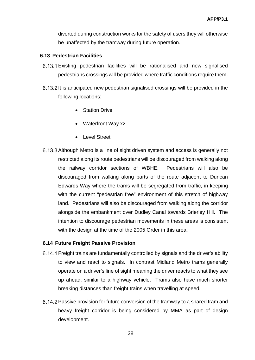diverted during construction works for the safety of users they will otherwise be unaffected by the tramway during future operation.

## **6.13 Pedestrian Facilities**

- Existing pedestrian facilities will be rationalised and new signalised pedestrians crossings will be provided where traffic conditions require them.
- 6.13.2 It is anticipated new pedestrian signalised crossings will be provided in the following locations:
	- Station Drive
	- Waterfront Way x2
	- Level Street
- 6.13.3 Although Metro is a line of sight driven system and access is generally not restricted along its route pedestrians will be discouraged from walking along the railway corridor sections of WBHE. Pedestrians will also be discouraged from walking along parts of the route adjacent to Duncan Edwards Way where the trams will be segregated from traffic, in keeping with the current "pedestrian free" environment of this stretch of highway land. Pedestrians will also be discouraged from walking along the corridor alongside the embankment over Dudley Canal towards Brierley Hill. The intention to discourage pedestrian movements in these areas is consistent with the design at the time of the 2005 Order in this area.

#### **6.14 Future Freight Passive Provision**

- Freight trains are fundamentally controlled by signals and the driver's ability to view and react to signals. In contrast Midland Metro trams generally operate on a driver's line of sight meaning the driver reacts to what they see up ahead, similar to a highway vehicle. Trams also have much shorter breaking distances than freight trains when travelling at speed.
- 6.14.2 Passive provision for future conversion of the tramway to a shared tram and heavy freight corridor is being considered by MMA as part of design development.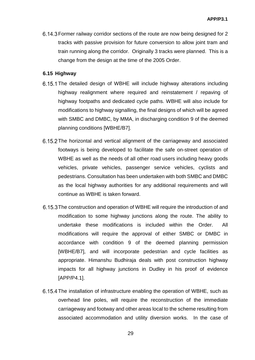Former railway corridor sections of the route are now being designed for 2 tracks with passive provision for future conversion to allow joint tram and train running along the corridor. Originally 3 tracks were planned. This is a change from the design at the time of the 2005 Order.

## **6.15 Highway**

- 6.15.1 The detailed design of WBHE will include highway alterations including highway realignment where required and reinstatement / repaving of highway footpaths and dedicated cycle paths. WBHE will also include for modifications to highway signalling, the final designs of which will be agreed with SMBC and DMBC, by MMA, in discharging condition 9 of the deemed planning conditions [WBHE/B7].
- 6.15.2 The horizontal and vertical alignment of the carriageway and associated footways is being developed to facilitate the safe on-street operation of WBHE as well as the needs of all other road users including heavy goods vehicles, private vehicles, passenger service vehicles, cyclists and pedestrians. Consultation has been undertaken with both SMBC and DMBC as the local highway authorities for any additional requirements and will continue as WBHE is taken forward.
- 6.15.3 The construction and operation of WBHE will require the introduction of and modification to some highway junctions along the route. The ability to undertake these modifications is included within the Order. All modifications will require the approval of either SMBC or DMBC in accordance with condition 9 of the deemed planning permission [WBHE/B7], and will incorporate pedestrian and cycle facilities as appropriate. Himanshu Budhiraja deals with post construction highway impacts for all highway junctions in Dudley in his proof of evidence [APP/P4.1].
- 6.15.4 The installation of infrastructure enabling the operation of WBHE, such as overhead line poles, will require the reconstruction of the immediate carriageway and footway and other areas local to the scheme resulting from associated accommodation and utility diversion works. In the case of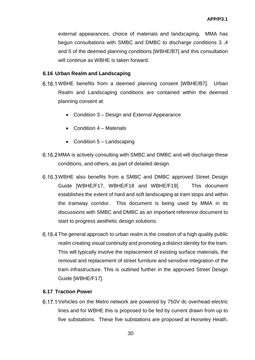external appearances, choice of materials and landscaping, MMA has begun consultations with SMBC and DMBC to discharge conditions 3 ,4 and 5 of the deemed planning conditions [WBHE/B7] and this consultation will continue as WBHE is taken forward.

## **6.16 Urban Realm and Landscaping**

- WBHE benefits from a deemed planning consent [WBHE/B7]. Urban Realm and Landscaping conditions are contained within the deemed planning consent at:
	- Condition 3 Design and External Appearance
	- Condition  $4 -$  Materials
	- Condition  $5 -$  Landscaping
- 6.16.2 MMA is actively consulting with SMBC and DMBC and will discharge these conditions, and others, as part of detailed design.
- WBHE also benefits from a SMBC and DMBC approved Street Design Guide [WBHE/F17, WBHE/F18 and WBHE/F19]. This document establishes the extent of hard and soft landscaping at tram stops and within the tramway corridor. This document is being used by MMA in its discussions with SMBC and DMBC as an important reference document to start to progress aesthetic design solutions.
- 6.16.4 The general approach to urban realm is the creation of a high quality public realm creating visual continuity and promoting a distinct identity for the tram. This will typically involve the replacement of existing surface materials, the removal and replacement of street furniture and sensitive integration of the tram infrastructure. This is outlined further in the approved Street Design Guide [WBHE/F17].

## **6.17 Traction Power**

6.17.1 Vehicles on the Metro network are powered by 750V dc overhead electric lines and for WBHE this is proposed to be fed by current drawn from up to five substations. These five substations are proposed at Horseley Heath,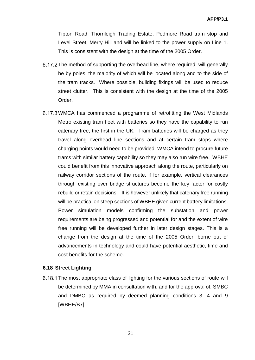Tipton Road, Thornleigh Trading Estate, Pedmore Road tram stop and Level Street, Merry Hill and will be linked to the power supply on Line 1. This is consistent with the design at the time of the 2005 Order.

- 6.17.2 The method of supporting the overhead line, where required, will generally be by poles, the majority of which will be located along and to the side of the tram tracks. Where possible, building fixings will be used to reduce street clutter. This is consistent with the design at the time of the 2005 Order.
- 6.17.3 WMCA has commenced a programme of retrofitting the West Midlands Metro existing tram fleet with batteries so they have the capability to run catenary free, the first in the UK. Tram batteries will be charged as they travel along overhead line sections and at certain tram stops where charging points would need to be provided. WMCA intend to procure future trams with similar battery capability so they may also run wire free. WBHE could benefit from this innovative approach along the route, particularly on railway corridor sections of the route, if for example, vertical clearances through existing over bridge structures become the key factor for costly rebuild or retain decisions. It is however unlikely that catenary free running will be practical on steep sections of WBHE given current battery limitations. Power simulation models confirming the substation and power requirements are being progressed and potential for and the extent of wire free running will be developed further in later design stages. This is a change from the design at the time of the 2005 Order, borne out of advancements in technology and could have potential aesthetic, time and cost benefits for the scheme.

#### **6.18 Street Lighting**

6.18.1 The most appropriate class of lighting for the various sections of route will be determined by MMA in consultation with, and for the approval of, SMBC and DMBC as required by deemed planning conditions 3, 4 and 9 [WBHE/B7].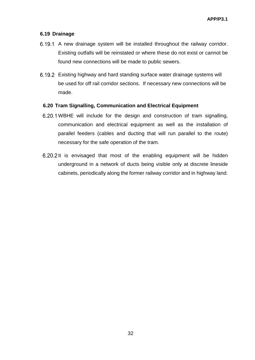## **6.19 Drainage**

- 6.19.1 A new drainage system will be installed throughout the railway corridor. Existing outfalls will be reinstated or where these do not exist or cannot be found new connections will be made to public sewers.
- Existing highway and hard standing surface water drainage systems will be used for off rail corridor sections. If necessary new connections will be made.

## **6.20 Tram Signalling, Communication and Electrical Equipment**

- WBHE will include for the design and construction of tram signalling, communication and electrical equipment as well as the installation of parallel feeders (cables and ducting that will run parallel to the route) necessary for the safe operation of the tram.
- 6.20.2 It is envisaged that most of the enabling equipment will be hidden underground in a network of ducts being visible only at discrete lineside cabinets, periodically along the former railway corridor and in highway land.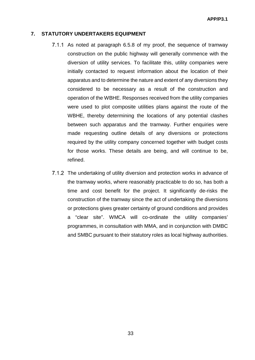#### **7. STATUTORY UNDERTAKERS EQUIPMENT**

- 7.1.1 As noted at paragraph 6.5.8 of my proof, the sequence of tramway construction on the public highway will generally commence with the diversion of utility services. To facilitate this, utility companies were initially contacted to request information about the location of their apparatus and to determine the nature and extent of any diversions they considered to be necessary as a result of the construction and operation of the WBHE. Responses received from the utility companies were used to plot composite utilities plans against the route of the WBHE, thereby determining the locations of any potential clashes between such apparatus and the tramway. Further enquiries were made requesting outline details of any diversions or protections required by the utility company concerned together with budget costs for those works. These details are being, and will continue to be, refined.
- 7.1.2 The undertaking of utility diversion and protection works in advance of the tramway works, where reasonably practicable to do so, has both a time and cost benefit for the project. It significantly de-risks the construction of the tramway since the act of undertaking the diversions or protections gives greater certainty of ground conditions and provides a "clear site". WMCA will co-ordinate the utility companies' programmes, in consultation with MMA, and in conjunction with DMBC and SMBC pursuant to their statutory roles as local highway authorities.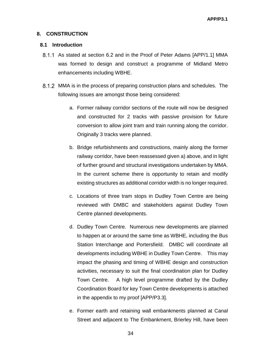## **8. CONSTRUCTION**

#### **8.1 Introduction**

- As stated at section 6.2 and in the Proof of Peter Adams [APP/1.1] MMA was formed to design and construct a programme of Midland Metro enhancements including WBHE.
- MMA is in the process of preparing construction plans and schedules. The following issues are amongst those being considered:
	- a. Former railway corridor sections of the route will now be designed and constructed for 2 tracks with passive provision for future conversion to allow joint tram and train running along the corridor. Originally 3 tracks were planned.
	- b. Bridge refurbishments and constructions, mainly along the former railway corridor, have been reassessed given a) above, and in light of further ground and structural investigations undertaken by MMA. In the current scheme there is opportunity to retain and modify existing structures as additional corridor width is no longer required.
	- c. Locations of three tram stops in Dudley Town Centre are being reviewed with DMBC and stakeholders against Dudley Town Centre planned developments.
	- d. Dudley Town Centre. Numerous new developments are planned to happen at or around the same time as WBHE, including the Bus Station Interchange and Portersfield. DMBC will coordinate all developments including WBHE in Dudley Town Centre. This may impact the phasing and timing of WBHE design and construction activities, necessary to suit the final coordination plan for Dudley Town Centre. A high level programme drafted by the Dudley Coordination Board for key Town Centre developments is attached in the appendix to my proof [APP/P3.3].
	- e. Former earth and retaining wall embankments planned at Canal Street and adjacent to The Embankment, Brierley Hill, have been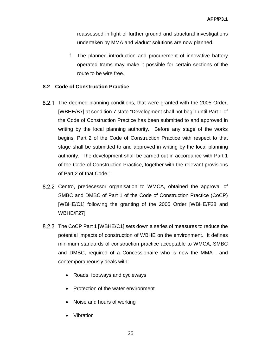reassessed in light of further ground and structural investigations undertaken by MMA and viaduct solutions are now planned.

f. The planned introduction and procurement of innovative battery operated trams may make it possible for certain sections of the route to be wire free.

## **8.2 Code of Construction Practice**

- 8.2.1 The deemed planning conditions, that were granted with the 2005 Order, [WBHE/B7] at condition 7 state "Development shall not begin until Part 1 of the Code of Construction Practice has been submitted to and approved in writing by the local planning authority. Before any stage of the works begins, Part 2 of the Code of Construction Practice with respect to that stage shall be submitted to and approved in writing by the local planning authority. The development shall be carried out in accordance with Part 1 of the Code of Construction Practice, together with the relevant provisions of Part 2 of that Code."
- 8.2.2 Centro, predecessor organisation to WMCA, obtained the approval of SMBC and DMBC of Part 1 of the Code of Construction Practice (CoCP) [WBHE/C1] following the granting of the 2005 Order [WBHE/F28 and WBHE/F27].
- 8.2.3 The CoCP Part 1 [WBHE/C1] sets down a series of measures to reduce the potential impacts of construction of WBHE on the environment. It defines minimum standards of construction practice acceptable to WMCA, SMBC and DMBC, required of a Concessionaire who is now the MMA , and contemporaneously deals with:
	- Roads, footways and cycleways
	- Protection of the water environment
	- Noise and hours of working
	- Vibration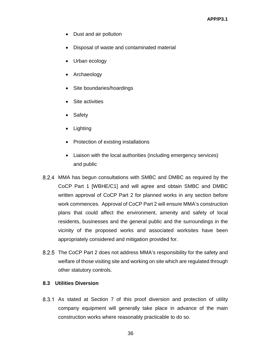- Dust and air pollution
- Disposal of waste and contaminated material
- Urban ecology
- Archaeology
- Site boundaries/hoardings
- Site activities
- Safety
- Lighting
- Protection of existing installations
- Liaison with the local authorities (including emergency services) and public
- MMA has begun consultations with SMBC and DMBC as required by the CoCP Part 1 [WBHE/C1] and will agree and obtain SMBC and DMBC written approval of CoCP Part 2 for planned works in any section before work commences. Approval of CoCP Part 2 will ensure MMA's construction plans that could affect the environment, amenity and safety of local residents, businesses and the general public and the surroundings in the vicinity of the proposed works and associated worksites have been appropriately considered and mitigation provided for.
- 8.2.5 The CoCP Part 2 does not address MMA's responsibility for the safety and welfare of those visiting site and working on site which are regulated through other statutory controls.

## **8.3 Utilities Diversion**

8.3.1 As stated at Section 7 of this proof diversion and protection of utility company equipment will generally take place in advance of the main construction works where reasonably practicable to do so.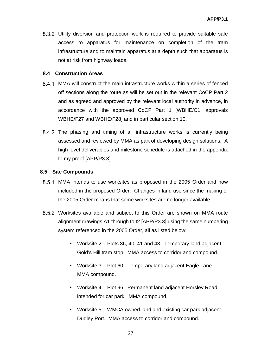Utility diversion and protection work is required to provide suitable safe access to apparatus for maintenance on completion of the tram infrastructure and to maintain apparatus at a depth such that apparatus is not at risk from highway loads.

## **8.4 Construction Areas**

- MMA will construct the main infrastructure works within a series of fenced off sections along the route as will be set out in the relevant CoCP Part 2 and as agreed and approved by the relevant local authority in advance, in accordance with the approved CoCP Part 1 [WBHE/C1, approvals WBHE/F27 and WBHE/F28] and in particular section 10.
- 8.4.2 The phasing and timing of all infrastructure works is currently being assessed and reviewed by MMA as part of developing design solutions. A high level deliverables and milestone schedule is attached in the appendix to my proof [APP/P3.3].

#### **8.5 Site Compounds**

- MMA intends to use worksites as proposed in the 2005 Order and now included in the proposed Order. Changes in land use since the making of the 2005 Order means that some worksites are no longer available.
- 8.5.2 Worksites available and subject to this Order are shown on MMA route alignment drawings A1 through to I2 [APP/P3.3] using the same numbering system referenced in the 2005 Order, all as listed below:
	- Worksite 2 Plots 36, 40, 41 and 43. Temporary land adjacent Gold's Hill tram stop. MMA access to corridor and compound.
	- Worksite 3 Plot 60. Temporary land adjacent Eagle Lane. MMA compound.
	- Worksite 4 Plot 96. Permanent land adjacent Horsley Road, intended for car park. MMA compound.
	- Worksite 5 WMCA owned land and existing car park adjacent Dudley Port. MMA access to corridor and compound.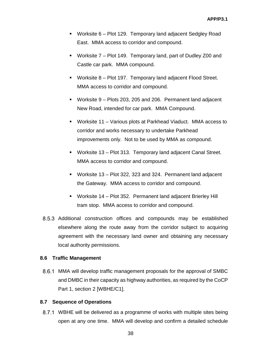- Worksite 6 Plot 129. Temporary land adjacent Sedgley Road East. MMA access to corridor and compound.
- Worksite 7 Plot 149. Temporary land, part of Dudley Z00 and Castle car park. MMA compound.
- Worksite 8 Plot 197. Temporary land adjacent Flood Street. MMA access to corridor and compound.
- Worksite 9 Plots 203, 205 and 206. Permanent land adjacent New Road, intended for car park. MMA Compound.
- Worksite 11 Various plots at Parkhead Viaduct. MMA access to corridor and works necessary to undertake Parkhead improvements only. Not to be used by MMA as compound.
- Worksite 13 Plot 313. Temporary land adjacent Canal Street. MMA access to corridor and compound.
- Worksite 13 Plot 322, 323 and 324. Permanent land adjacent the Gateway. MMA access to corridor and compound.
- Worksite 14 Plot 352. Permanent land adjacent Brierley Hill tram stop. MMA access to corridor and compound.
- 8.5.3 Additional construction offices and compounds may be established elsewhere along the route away from the corridor subject to acquiring agreement with the necessary land owner and obtaining any necessary local authority permissions.

## **8.6 Traffic Management**

MMA will develop traffic management proposals for the approval of SMBC and DMBC in their capacity as highway authorities, as required by the CoCP Part 1, section 2 [WBHE/C1].

## **8.7 Sequence of Operations**

WBHE will be delivered as a programme of works with multiple sites being open at any one time. MMA will develop and confirm a detailed schedule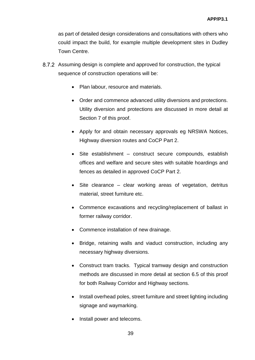as part of detailed design considerations and consultations with others who could impact the build, for example multiple development sites in Dudley Town Centre.

- Assuming design is complete and approved for construction, the typical sequence of construction operations will be:
	- Plan labour, resource and materials.
	- Order and commence advanced utility diversions and protections. Utility diversion and protections are discussed in more detail at Section 7 of this proof.
	- Apply for and obtain necessary approvals eg NRSWA Notices, Highway diversion routes and CoCP Part 2.
	- Site establishment construct secure compounds, establish offices and welfare and secure sites with suitable hoardings and fences as detailed in approved CoCP Part 2.
	- Site clearance clear working areas of vegetation, detritus material, street furniture etc.
	- Commence excavations and recycling/replacement of ballast in former railway corridor.
	- Commence installation of new drainage.
	- Bridge, retaining walls and viaduct construction, including any necessary highway diversions.
	- Construct tram tracks. Typical tramway design and construction methods are discussed in more detail at section 6.5 of this proof for both Railway Corridor and Highway sections.
	- Install overhead poles, street furniture and street lighting including signage and waymarking.
	- Install power and telecoms.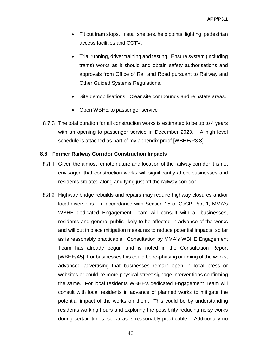- Fit out tram stops. Install shelters, help points, lighting, pedestrian access facilities and CCTV.
- Trial running, driver training and testing. Ensure system (including trams) works as it should and obtain safety authorisations and approvals from Office of Rail and Road pursuant to Railway and Other Guided Systems Regulations.
- Site demobilisations. Clear site compounds and reinstate areas.
- Open WBHE to passenger service
- 8.7.3 The total duration for all construction works is estimated to be up to 4 years with an opening to passenger service in December 2023. A high level schedule is attached as part of my appendix proof [WBHE/P3.3].

## **8.8 Former Railway Corridor Construction Impacts**

- 8.8.1 Given the almost remote nature and location of the railway corridor it is not envisaged that construction works will significantly affect businesses and residents situated along and lying just off the railway corridor.
- 8.8.2 Highway bridge rebuilds and repairs may require highway closures and/or local diversions. In accordance with Section 15 of CoCP Part 1, MMA's WBHE dedicated Engagement Team will consult with all businesses, residents and general public likely to be affected in advance of the works and will put in place mitigation measures to reduce potential impacts, so far as is reasonably practicable. Consultation by MMA's WBHE Engagement Team has already begun and is noted in the Consultation Report [WBHE/A5]. For businesses this could be re-phasing or timing of the works, advanced advertising that businesses remain open in local press or websites or could be more physical street signage interventions confirming the same. For local residents WBHE's dedicated Engagement Team will consult with local residents in advance of planned works to mitigate the potential impact of the works on them. This could be by understanding residents working hours and exploring the possibility reducing noisy works during certain times, so far as is reasonably practicable. Additionally no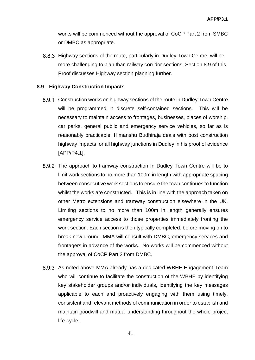works will be commenced without the approval of CoCP Part 2 from SMBC or DMBC as appropriate.

8.8.3 Highway sections of the route, particularly in Dudley Town Centre, will be more challenging to plan than railway corridor sections. Section 8.9 of this Proof discusses Highway section planning further.

## **8.9 Highway Construction Impacts**

- 8.9.1 Construction works on highway sections of the route in Dudley Town Centre will be programmed in discrete self-contained sections. This will be necessary to maintain access to frontages, businesses, places of worship, car parks, general public and emergency service vehicles, so far as is reasonably practicable. Himanshu Budhiraja deals with post construction highway impacts for all highway junctions in Dudley in his proof of evidence [APP/P4.1].
- 8.9.2 The approach to tramway construction In Dudley Town Centre will be to limit work sections to no more than 100m in length with appropriate spacing between consecutive work sections to ensure the town continues to function whilst the works are constructed. This is in line with the approach taken on other Metro extensions and tramway construction elsewhere in the UK. Limiting sections to no more than 100m in length generally ensures emergency service access to those properties immediately fronting the work section. Each section is then typically completed, before moving on to break new ground. MMA will consult with DMBC, emergency services and frontagers in advance of the works. No works will be commenced without the approval of CoCP Part 2 from DMBC.
- 8.9.3 As noted above MMA already has a dedicated WBHE Engagement Team who will continue to facilitate the construction of the WBHE by identifying key stakeholder groups and/or individuals, identifying the key messages applicable to each and proactively engaging with them using timely, consistent and relevant methods of communication in order to establish and maintain goodwill and mutual understanding throughout the whole project life-cycle.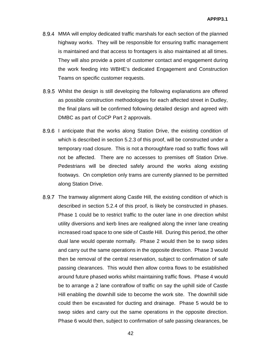- MMA will employ dedicated traffic marshals for each section of the planned highway works. They will be responsible for ensuring traffic management is maintained and that access to frontagers is also maintained at all times. They will also provide a point of customer contact and engagement during the work feeding into WBHE's dedicated Engagement and Construction Teams on specific customer requests.
- Whilst the design is still developing the following explanations are offered as possible construction methodologies for each affected street in Dudley, the final plans will be confirmed following detailed design and agreed with DMBC as part of CoCP Part 2 approvals.
- 8.9.6 I anticipate that the works along Station Drive, the existing condition of which is described in section 5.2.3 of this proof, will be constructed under a temporary road closure. This is not a thoroughfare road so traffic flows will not be affected. There are no accesses to premises off Station Drive. Pedestrians will be directed safely around the works along existing footways. On completion only trams are currently planned to be permitted along Station Drive.
- 8.9.7 The tramway alignment along Castle Hill, the existing condition of which is described in section 5.2.4 of this proof, is likely be constructed in phases. Phase 1 could be to restrict traffic to the outer lane in one direction whilst utility diversions and kerb lines are realigned along the inner lane creating increased road space to one side of Castle Hill. During this period, the other dual lane would operate normally. Phase 2 would then be to swop sides and carry out the same operations in the opposite direction. Phase 3 would then be removal of the central reservation, subject to confirmation of safe passing clearances. This would then allow contra flows to be established around future phased works whilst maintaining traffic flows. Phase 4 would be to arrange a 2 lane contraflow of traffic on say the uphill side of Castle Hill enabling the downhill side to become the work site. The downhill side could then be excavated for ducting and drainage. Phase 5 would be to swop sides and carry out the same operations in the opposite direction. Phase 6 would then, subject to confirmation of safe passing clearances, be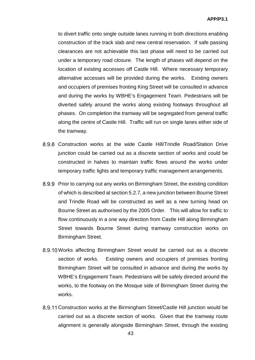to divert traffic onto single outside lanes running in both directions enabling construction of the track slab and new central reservation. If safe passing clearances are not achievable this last phase will need to be carried out under a temporary road closure. The length of phases will depend on the location of existing accesses off Castle Hill. Where necessary temporary alternative accesses will be provided during the works. Existing owners and occupiers of premises fronting King Street will be consulted in advance and during the works by WBHE's Engagement Team. Pedestrians will be diverted safely around the works along existing footways throughout all phases. On completion the tramway will be segregated from general traffic along the centre of Castle Hill. Traffic will run on single lanes either side of the tramway.

- Construction works at the wide Castle Hill/Trindle Road/Station Drive junction could be carried out as a discrete section of works and could be constructed in halves to maintain traffic flows around the works under temporary traffic lights and temporary traffic management arrangements.
- 8.9.9 Prior to carrying out any works on Birmingham Street, the existing condition of which is described at section 5.2.7, a new junction between Bourne Street and Trindle Road will be constructed as well as a new turning head on Bourne Street as authorised by the 2005 Order. This will allow for traffic to flow continuously in a one way direction from Castle Hill along Birmingham Street towards Bourne Street during tramway construction works on Birmingham Street.
- 8.9.10 Works affecting Birmingham Street would be carried out as a discrete section of works. Existing owners and occupiers of premises fronting Birmingham Street will be consulted in advance and during the works by WBHE's Engagement Team. Pedestrians will be safely directed around the works, to the footway on the Mosque side of Birmingham Street during the works.
- 8.9.11 Construction works at the Birmingham Street/Castle Hill junction would be carried out as a discrete section of works. Given that the tramway route alignment is generally alongside Birmingham Street, through the existing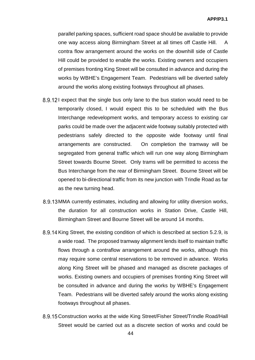parallel parking spaces, sufficient road space should be available to provide one way access along Birmingham Street at all times off Castle Hill. A contra flow arrangement around the works on the downhill side of Castle Hill could be provided to enable the works. Existing owners and occupiers of premises fronting King Street will be consulted in advance and during the works by WBHE's Engagement Team. Pedestrians will be diverted safely around the works along existing footways throughout all phases.

- 8.9.121 expect that the single bus only lane to the bus station would need to be temporarily closed, I would expect this to be scheduled with the Bus Interchange redevelopment works, and temporary access to existing car parks could be made over the adjacent wide footway suitably protected with pedestrians safely directed to the opposite wide footway until final arrangements are constructed. On completion the tramway will be segregated from general traffic which will run one way along Birmingham Street towards Bourne Street. Only trams will be permitted to access the Bus Interchange from the rear of Birmingham Street. Bourne Street will be opened to bi-directional traffic from its new junction with Trindle Road as far as the new turning head.
- 8.9.13 MMA currently estimates, including and allowing for utility diversion works, the duration for all construction works in Station Drive, Castle Hill, Birmingham Street and Bourne Street will be around 14 months.
- 8.9.14 King Street, the existing condition of which is described at section 5.2.9, is a wide road. The proposed tramway alignment lends itself to maintain traffic flows through a contraflow arrangement around the works, although this may require some central reservations to be removed in advance. Works along King Street will be phased and managed as discrete packages of works. Existing owners and occupiers of premises fronting King Street will be consulted in advance and during the works by WBHE's Engagement Team. Pedestrians will be diverted safely around the works along existing footways throughout all phases.
- 8.9.15 Construction works at the wide King Street/Fisher Street/Trindle Road/Hall Street would be carried out as a discrete section of works and could be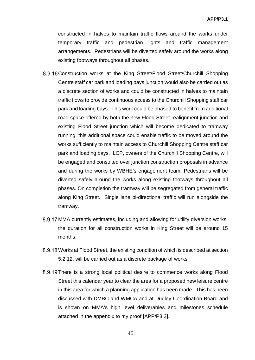constructed in halves to maintain traffic flows around the works under temporary traffic and pedestrian lights and traffic management arrangements. Pedestrians will be diverted safely around the works along existing footways throughout all phases.

- 8.9.16 Construction works at the King Street/Flood Street/Churchill Shopping Centre staff car park and loading bays junction would also be carried out as a discrete section of works and could be constructed in halves to maintain traffic flows to provide continuous access to the Churchill Shopping staff car park and loading bays. This work could be phased to benefit from additional road space offered by both the new Flood Street realignment junction and existing Flood Street junction which will become dedicated to tramway running, this additional space could enable traffic to be moved around the works sufficiently to maintain access to Churchill Shopping Centre staff car park and loading bays. LCP, owners of the Churchill Shopping Centre, will be engaged and consulted over junction construction proposals in advance and during the works by WBHE's engagement team. Pedestrians will be diverted safely around the works along existing footways throughout all phases. On completion the tramway will be segregated from general traffic along King Street. Single lane bi-directional traffic will run alongside the tramway.
- 8.9.17 MMA currently estimates, including and allowing for utility diversion works, the duration for all construction works in King Street will be around 15 months.
- 8.9.18 Works at Flood Street, the existing condition of which is described at section 5.2.12, will be carried out as a discrete package of works.
- 8.9.19 There is a strong local political desire to commence works along Flood Street this calendar year to clear the area for a proposed new leisure centre in this area for which a planning application has been made. This has been discussed with DMBC and WMCA and at Dudley Coordination Board and is shown on MMA's high level deliverables and milestones schedule attached in the appendix to my proof [APP/P3.3].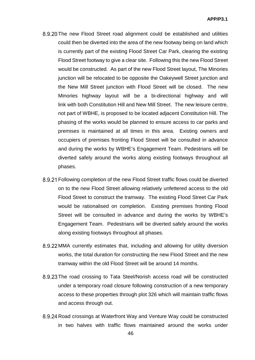- 8.9.20 The new Flood Street road alignment could be established and utilities could then be diverted into the area of the new footway being on land which is currently part of the existing Flood Street Car Park, clearing the existing Flood Street footway to give a clear site. Following this the new Flood Street would be constructed. As part of the new Flood Street layout, The Minories junction will be relocated to be opposite the Oakeywell Street junction and the New Mill Street junction with Flood Street will be closed. The new Minories highway layout will be a bi-directional highway and will link with both Constitution Hill and New Mill Street. The new leisure centre, not part of WBHE, is proposed to be located adjacent Constitution Hill. The phasing of the works would be planned to ensure access to car parks and premises is maintained at all times in this area. Existing owners and occupiers of premises fronting Flood Street will be consulted in advance and during the works by WBHE's Engagement Team. Pedestrians will be diverted safely around the works along existing footways throughout all phases.
- Following completion of the new Flood Street traffic flows could be diverted on to the new Flood Street allowing relatively unfettered access to the old Flood Street to construct the tramway. The existing Flood Street Car Park would be rationalised on completion. Existing premises fronting Flood Street will be consulted in advance and during the works by WBHE's Engagement Team. Pedestrians will be diverted safely around the works along existing footways throughout all phases.
- MMA currently estimates that, including and allowing for utility diversion works, the total duration for constructing the new Flood Street and the new tramway within the old Flood Street will be around 14 months.
- 8.9.23 The road crossing to Tata Steel/Norish access road will be constructed under a temporary road closure following construction of a new temporary access to these properties through plot 326 which will maintain traffic flows and access through out.
- 8.9.24 Road crossings at Waterfront Way and Venture Way could be constructed in two halves with traffic flows maintained around the works under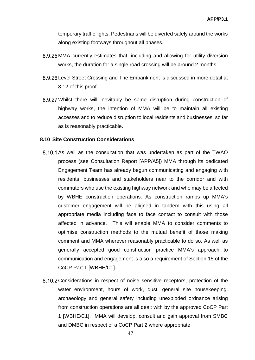temporary traffic lights. Pedestrians will be diverted safely around the works along existing footways throughout all phases.

- 8.9.25 MMA currently estimates that, including and allowing for utility diversion works, the duration for a single road crossing will be around 2 months.
- 8.9.26 Level Street Crossing and The Embankment is discussed in more detail at 8.12 of this proof.
- Whilst there will inevitably be some disruption during construction of highway works, the intention of MMA will be to maintain all existing accesses and to reduce disruption to local residents and businesses, so far as is reasonably practicable.

#### **8.10 Site Construction Considerations**

- 8.10.1 As well as the consultation that was undertaken as part of the TWAO process (see Consultation Report [APP/A5]) MMA through its dedicated Engagement Team has already begun communicating and engaging with residents, businesses and stakeholders near to the corridor and with commuters who use the existing highway network and who may be affected by WBHE construction operations. As construction ramps up MMA's customer engagement will be aligned in tandem with this using all appropriate media including face to face contact to consult with those affected in advance. This will enable MMA to consider comments to optimise construction methods to the mutual benefit of those making comment and MMA wherever reasonably practicable to do so. As well as generally accepted good construction practice MMA's approach to communication and engagement is also a requirement of Section 15 of the CoCP Part 1 [WBHE/C1].
- 8.10.2 Considerations in respect of noise sensitive receptors, protection of the water environment, hours of work, dust, general site housekeeping, archaeology and general safety including unexploded ordnance arising from construction operations are all dealt with by the approved CoCP Part 1 [WBHE/C1]. MMA will develop, consult and gain approval from SMBC and DMBC in respect of a CoCP Part 2 where appropriate.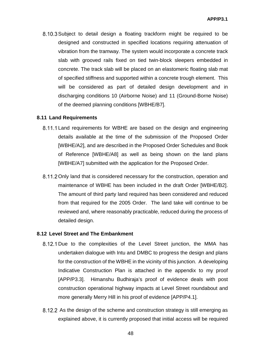8.10.3 Subject to detail design a floating trackform might be required to be designed and constructed in specified locations requiring attenuation of vibration from the tramway. The system would incorporate a concrete track slab with grooved rails fixed on tied twin-block sleepers embedded in concrete. The track slab will be placed on an elastomeric floating slab mat of specified stiffness and supported within a concrete trough element. This will be considered as part of detailed design development and in discharging conditions 10 (Airborne Noise) and 11 (Ground-Borne Noise) of the deemed planning conditions [WBHE/B7].

## **8.11 Land Requirements**

- 8.11.1 Land requirements for WBHE are based on the design and engineering details available at the time of the submission of the Proposed Order [WBHE/A2], and are described in the Proposed Order Schedules and Book of Reference [WBHE/A8] as well as being shown on the land plans [WBHE/A7] submitted with the application for the Proposed Order.
- 8.11.2 Only land that is considered necessary for the construction, operation and maintenance of WBHE has been included in the draft Order [WBHE/B2]. The amount of third party land required has been considered and reduced from that required for the 2005 Order. The land take will continue to be reviewed and, where reasonably practicable, reduced during the process of detailed design.

#### **8.12 Level Street and The Embankment**

- 8.12.1 Due to the complexities of the Level Street junction, the MMA has undertaken dialogue with Intu and DMBC to progress the design and plans for the construction of the WBHE in the vicinity of this junction. A developing Indicative Construction Plan is attached in the appendix to my proof [APP/P3.3]. Himanshu Budhiraja's proof of evidence deals with post construction operational highway impacts at Level Street roundabout and more generally Merry Hill in his proof of evidence [APP/P4.1].
- 8.12.2 As the design of the scheme and construction strategy is still emerging as explained above, it is currently proposed that initial access will be required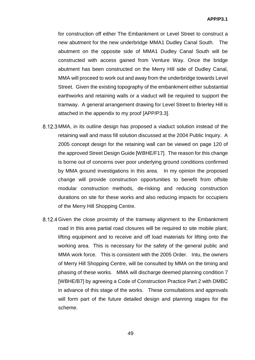for construction off either The Embankment or Level Street to construct a new abutment for the new underbridge MMA1 Dudley Canal South. The abutment on the opposite side of MMA1 Dudley Canal South will be constructed with access gained from Venture Way. Once the bridge abutment has been constructed on the Merry Hill side of Dudley Canal, MMA will proceed to work out and away from the underbridge towards Level Street. Given the existing topography of the embankment either substantial earthworks and retaining walls or a viaduct will be required to support the tramway. A general arrangement drawing for Level Street to Brierley Hill is attached in the appendix to my proof [APP/P3.3].

- MMA, in its outline design has proposed a viaduct solution instead of the retaining wall and mass fill solution discussed at the 2004 Public Inquiry. A 2005 concept design for the retaining wall can be viewed on page 120 of the approved Street Design Guide [WBHE/F17]. The reason for this change is borne out of concerns over poor underlying ground conditions confirmed by MMA ground investigations in this area. In my opinion the proposed change will provide construction opportunities to benefit from offsite modular construction methods, de-risking and reducing construction durations on site for these works and also reducing impacts for occupiers of the Merry Hill Shopping Centre.
- 8.12.4 Given the close proximity of the tramway alignment to the Embankment road in this area partial road closures will be required to site mobile plant, lifting equipment and to receive and off load materials for lifting onto the working area. This is necessary for the safety of the general public and MMA work force. This is consistent with the 2005 Order. Intu, the owners of Merry Hill Shopping Centre, will be consulted by MMA on the timing and phasing of these works. MMA will discharge deemed planning condition 7 [WBHE/B7] by agreeing a Code of Construction Practice Part 2 with DMBC in advance of this stage of the works. These consultations and approvals will form part of the future detailed design and planning stages for the scheme.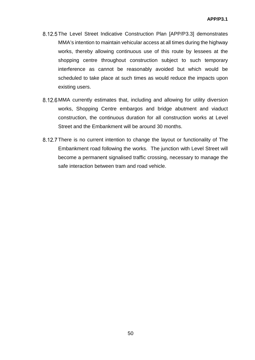- 8.12.5 The Level Street Indicative Construction Plan [APP/P3.3] demonstrates MMA's intention to maintain vehicular access at all times during the highway works, thereby allowing continuous use of this route by lessees at the shopping centre throughout construction subject to such temporary interference as cannot be reasonably avoided but which would be scheduled to take place at such times as would reduce the impacts upon existing users.
- 8.12.6 MMA currently estimates that, including and allowing for utility diversion works, Shopping Centre embargos and bridge abutment and viaduct construction, the continuous duration for all construction works at Level Street and the Embankment will be around 30 months.
- 8.12.7 There is no current intention to change the layout or functionality of The Embankment road following the works. The junction with Level Street will become a permanent signalised traffic crossing, necessary to manage the safe interaction between tram and road vehicle.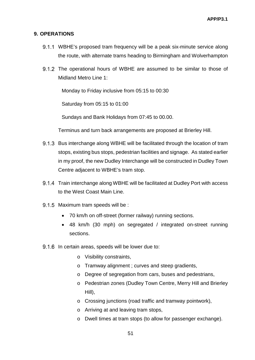## **9. OPERATIONS**

- WBHE's proposed tram frequency will be a peak six-minute service along the route, with alternate trams heading to Birmingham and Wolverhampton
- 9.1.2 The operational hours of WBHE are assumed to be similar to those of Midland Metro Line 1:

Monday to Friday inclusive from 05:15 to 00:30

Saturday from 05:15 to 01:00

Sundays and Bank Holidays from 07:45 to 00.00.

Terminus and turn back arrangements are proposed at Brierley Hill.

- 9.1.3 Bus interchange along WBHE will be facilitated through the location of tram stops, existing bus stops, pedestrian facilities and signage. As stated earlier in my proof, the new Dudley Interchange will be constructed in Dudley Town Centre adjacent to WBHE's tram stop.
- 9.1.4 Train interchange along WBHE will be facilitated at Dudley Port with access to the West Coast Main Line.
- 9.1.5 Maximum tram speeds will be :
	- 70 km/h on off-street (former railway) running sections.
	- 48 km/h (30 mph) on segregated / integrated on-street running sections.
- 9.1.6 In certain areas, speeds will be lower due to:
	- o Visibility constraints,
	- o Tramway alignment ; curves and steep gradients,
	- o Degree of segregation from cars, buses and pedestrians,
	- o Pedestrian zones (Dudley Town Centre, Merry Hill and Brierley Hill),
	- o Crossing junctions (road traffic and tramway pointwork),
	- o Arriving at and leaving tram stops,
	- o Dwell times at tram stops (to allow for passenger exchange).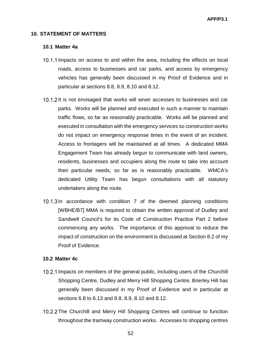#### **10. STATEMENT OF MATTERS**

#### **10.1 Matter 4a**

- 10.1.1 Impacts on access to and within the area, including the effects on local roads, access to businesses and car parks, and access by emergency vehicles has generally been discussed in my Proof of Evidence and in particular at sections 8.8, 8.9, 8.10 and 8.12.
- 10.1.2 It is not envisaged that works will sever accesses to businesses and car parks. Works will be planned and executed in such a manner to maintain traffic flows, so far as reasonably practicable. Works will be planned and executed in consultation with the emergency services so construction works do not impact on emergency response times in the event of an incident. Access to frontagers will be maintained at all times. A dedicated MMA Engagement Team has already begun to communicate with land owners, residents, businesses and occupiers along the route to take into account their particular needs, so far as is reasonably practicable. WMCA's dedicated Utility Team has begun consultations with all statutory undertakers along the route.
- 10.1.3 In accordance with condition 7 of the deemed planning conditions [WBHE/B7] MMA is required to obtain the written approval of Dudley and Sandwell Council's for its Code of Construction Practice Part 2 before commencing any works. The importance of this approval to reduce the impact of construction on the environment is discussed at Section 8.2 of my Proof of Evidence.

## **10.2 Matter 4c**

- 10.2.1 Impacts on members of the general public, including users of the Churchill Shopping Centre, Dudley and Merry Hill Shopping Centre, Brierley Hill has generally been discussed in my Proof of Evidence and in particular at sections 6.8 to 6.13 and 8.8, 8.9, 8.10 and 8.12.
- 10.2.2 The Churchill and Merry Hill Shopping Centres will continue to function throughout the tramway construction works. Accesses to shopping centres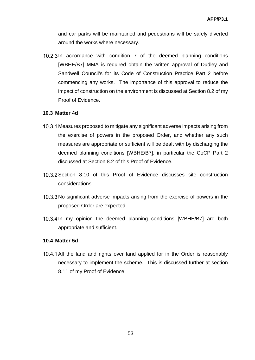and car parks will be maintained and pedestrians will be safely diverted around the works where necessary.

10.2.3 In accordance with condition 7 of the deemed planning conditions [WBHE/B7] MMA is required obtain the written approval of Dudley and Sandwell Council's for its Code of Construction Practice Part 2 before commencing any works. The importance of this approval to reduce the impact of construction on the environment is discussed at Section 8.2 of my Proof of Evidence.

#### **10.3 Matter 4d**

- 10.3.1 Measures proposed to mitigate any significant adverse impacts arising from the exercise of powers in the proposed Order, and whether any such measures are appropriate or sufficient will be dealt with by discharging the deemed planning conditions [WBHE/B7], in particular the CoCP Part 2 discussed at Section 8.2 of this Proof of Evidence.
- 10.3.2 Section 8.10 of this Proof of Evidence discusses site construction considerations.
- 10.3.3 No significant adverse impacts arising from the exercise of powers in the proposed Order are expected.
- 10.3.4 In my opinion the deemed planning conditions [WBHE/B7] are both appropriate and sufficient.

#### **10.4 Matter 5d**

10.4.1 All the land and rights over land applied for in the Order is reasonably necessary to implement the scheme. This is discussed further at section 8.11 of my Proof of Evidence.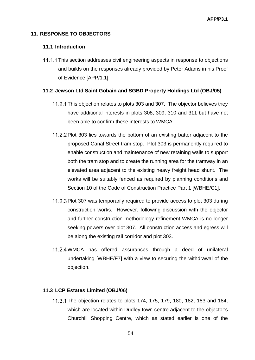## **11. RESPONSE TO OBJECTORS**

#### **11.1 Introduction**

11.1.1 This section addresses civil engineering aspects in response to objections and builds on the responses already provided by Peter Adams in his Proof of Evidence [APP/1.1].

#### **11.2 Jewson Ltd Saint Gobain and SGBD Property Holdings Ltd (OBJ/05)**

- 11.2.1 This objection relates to plots 303 and 307. The objector believes they have additional interests in plots 308, 309, 310 and 311 but have not been able to confirm these interests to WMCA.
- 11.2.2 Plot 303 lies towards the bottom of an existing batter adjacent to the proposed Canal Street tram stop. Plot 303 is permanently required to enable construction and maintenance of new retaining walls to support both the tram stop and to create the running area for the tramway in an elevated area adjacent to the existing heavy freight head shunt. The works will be suitably fenced as required by planning conditions and Section 10 of the Code of Construction Practice Part 1 [WBHE/C1].
- 11.2.3 Plot 307 was temporarily required to provide access to plot 303 during construction works. However, following discussion with the objector and further construction methodology refinement WMCA is no longer seeking powers over plot 307. All construction access and egress will be along the existing rail corridor and plot 303.
- 11.2.4 WMCA has offered assurances through a deed of unilateral undertaking [WBHE/F7] with a view to securing the withdrawal of the objection.

#### **11.3 LCP Estates Limited (OBJ/06)**

The objection relates to plots 174, 175, 179, 180, 182, 183 and 184, which are located within Dudley town centre adjacent to the objector's Churchill Shopping Centre, which as stated earlier is one of the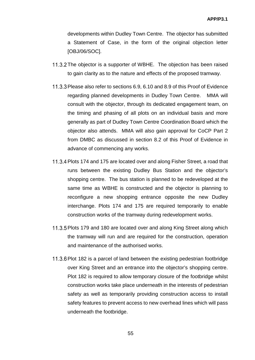developments within Dudley Town Centre. The objector has submitted a Statement of Case, in the form of the original objection letter [OBJ/06/SOC].

- 11.3.2 The objector is a supporter of WBHE. The objection has been raised to gain clarity as to the nature and effects of the proposed tramway.
- 11.3.3 Please also refer to sections 6.9, 6.10 and 8.9 of this Proof of Evidence regarding planned developments in Dudley Town Centre. MMA will consult with the objector, through its dedicated engagement team, on the timing and phasing of all plots on an individual basis and more generally as part of Dudley Town Centre Coordination Board which the objector also attends. MMA will also gain approval for CoCP Part 2 from DMBC as discussed in section 8.2 of this Proof of Evidence in advance of commencing any works.
- 11.3.4 Plots 174 and 175 are located over and along Fisher Street, a road that runs between the existing Dudley Bus Station and the objector's shopping centre. The bus station is planned to be redeveloped at the same time as WBHE is constructed and the objector is planning to reconfigure a new shopping entrance opposite the new Dudley interchange. Plots 174 and 175 are required temporarily to enable construction works of the tramway during redevelopment works.
- 11.3.5 Plots 179 and 180 are located over and along King Street along which the tramway will run and are required for the construction, operation and maintenance of the authorised works.
- 11.3.6 Plot 182 is a parcel of land between the existing pedestrian footbridge over King Street and an entrance into the objector's shopping centre. Plot 182 is required to allow temporary closure of the footbridge whilst construction works take place underneath in the interests of pedestrian safety as well as temporarily providing construction access to install safety features to prevent access to new overhead lines which will pass underneath the footbridge.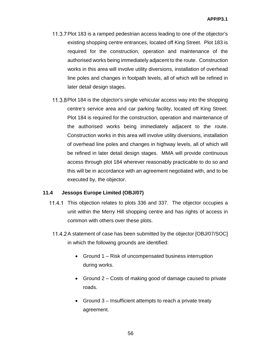- 11.3.7 Plot 183 is a ramped pedestrian access leading to one of the objector's existing shopping centre entrances, located off King Street. Plot 183 is required for the construction, operation and maintenance of the authorised works being immediately adjacent to the route. Construction works in this area will involve utility diversions, installation of overhead line poles and changes in footpath levels, all of which will be refined in later detail design stages.
- 11.3.8 Plot 184 is the objector's single vehicular access way into the shopping centre's service area and car parking facility, located off King Street. Plot 184 is required for the construction, operation and maintenance of the authorised works being immediately adjacent to the route. Construction works in this area will involve utility diversions, installation of overhead line poles and changes in highway levels, all of which will be refined in later detail design stages. MMA will provide continuous access through plot 184 wherever reasonably practicable to do so and this will be in accordance with an agreement negotiated with, and to be executed by, the objector.

## **11.4 Jessops Europe Limited (OBJ/07)**

- 11.4.1 This objection relates to plots 336 and 337. The objector occupies a unit within the Merry Hill shopping centre and has rights of access in common with others over these plots.
	- 11.4.2 A statement of case has been submitted by the objector [OBJ/07/SOC] in which the following grounds are identified:
		- Ground 1 Risk of uncompensated business interruption during works.
		- Ground 2 Costs of making good of damage caused to private roads.
		- Ground 3 Insufficient attempts to reach a private treaty agreement.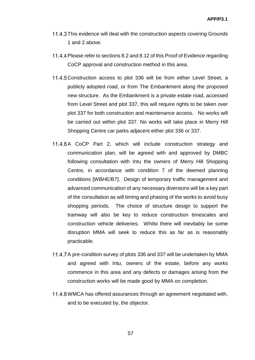- 11.4.3 This evidence will deal with the construction aspects covering Grounds 1 and 2 above.
- 11.4.4 Please refer to sections 8.2 and 8.12 of this Proof of Evidence regarding CoCP approval and construction method in this area.
- 11.4.5 Construction access to plot 336 will be from either Level Street, a publicly adopted road, or from The Embankment along the proposed new structure. As the Embankment is a private estate road, accessed from Level Street and plot 337, this will require rights to be taken over plot 337 for both construction and maintenance access. No works will be carried out within plot 337. No works will take place in Merry Hill Shopping Centre car parks adjacent either plot 336 or 337.
- 11.4.6 A CoCP Part 2, which will include construction strategy and communication plan, will be agreed with and approved by DMBC following consultation with Intu the owners of Merry Hill Shopping Centre, in accordance with condition 7 of the deemed planning conditions [WBHE/B7]. Design of temporary traffic management and advanced communication of any necessary diversions will be a key part of the consultation as will timing and phasing of the works to avoid busy shopping periods. The choice of structure design to support the tramway will also be key to reduce construction timescales and construction vehicle deliveries. Whilst there will inevitably be some disruption MMA will seek to reduce this as far as is reasonably practicable.
- 11.4.7 A pre-condition survey of plots 336 and 337 will be undertaken by MMA and agreed with Intu, owners of the estate, before any works commence in this area and any defects or damages arising from the construction works will be made good by MMA on completion.
- 11.4.8 WMCA has offered assurances through an agreement negotiated with, and to be executed by, the objector.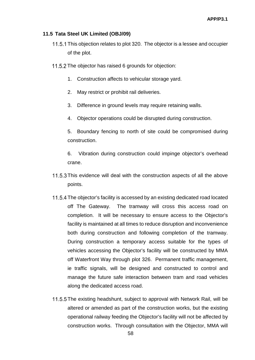#### **11.5 Tata Steel UK Limited (OBJ/09)**

- 11.5.1 This objection relates to plot 320. The objector is a lessee and occupier of the plot.
- 11.5.2 The objector has raised 6 grounds for objection:
	- 1. Construction affects to vehicular storage yard.
	- 2. May restrict or prohibit rail deliveries.
	- 3. Difference in ground levels may require retaining walls.
	- 4. Objector operations could be disrupted during construction.

5. Boundary fencing to north of site could be compromised during construction.

6. Vibration during construction could impinge objector's overhead crane.

- 11.5.3 This evidence will deal with the construction aspects of all the above points.
- 11.5.4 The objector's facility is accessed by an existing dedicated road located off The Gateway. The tramway will cross this access road on completion. It will be necessary to ensure access to the Objector's facility is maintained at all times to reduce disruption and inconvenience both during construction and following completion of the tramway. During construction a temporary access suitable for the types of vehicles accessing the Objector's facility will be constructed by MMA off Waterfront Way through plot 326. Permanent traffic management, ie traffic signals, will be designed and constructed to control and manage the future safe interaction between tram and road vehicles along the dedicated access road.
- 11.5.5 The existing headshunt, subject to approval with Network Rail, will be altered or amended as part of the construction works, but the existing operational railway feeding the Objector's facility will not be affected by construction works. Through consultation with the Objector, MMA will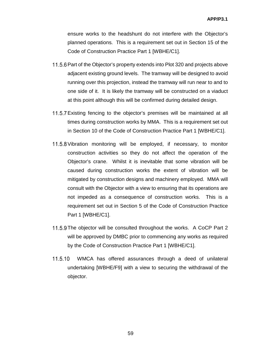ensure works to the headshunt do not interfere with the Objector's planned operations. This is a requirement set out in Section 15 of the Code of Construction Practice Part 1 [WBHE/C1].

- 11.5.6 Part of the Objector's property extends into Plot 320 and projects above adjacent existing ground levels. The tramway will be designed to avoid running over this projection, instead the tramway will run near to and to one side of it. It is likely the tramway will be constructed on a viaduct at this point although this will be confirmed during detailed design.
- 11.5.7 Existing fencing to the objector's premises will be maintained at all times during construction works by MMA. This is a requirement set out in Section 10 of the Code of Construction Practice Part 1 [WBHE/C1].
- 11.5.8 Vibration monitoring will be employed, if necessary, to monitor construction activities so they do not affect the operation of the Objector's crane. Whilst it is inevitable that some vibration will be caused during construction works the extent of vibration will be mitigated by construction designs and machinery employed. MMA will consult with the Objector with a view to ensuring that its operations are not impeded as a consequence of construction works. This is a requirement set out in Section 5 of the Code of Construction Practice Part 1 **IWBHE/C11**.
- 11.5.9 The objector will be consulted throughout the works. A CoCP Part 2 will be approved by DMBC prior to commencing any works as required by the Code of Construction Practice Part 1 [WBHE/C1].
- 11.5.10 WMCA has offered assurances through a deed of unilateral undertaking [WBHE/F9] with a view to securing the withdrawal of the objector.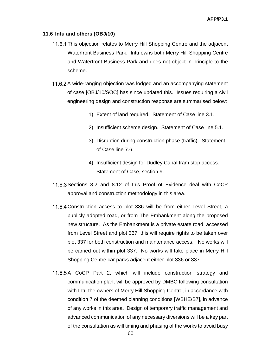#### **11.6 Intu and others (OBJ/10)**

- 11.6.1 This objection relates to Merry Hill Shopping Centre and the adjacent Waterfront Business Park. Intu owns both Merry Hill Shopping Centre and Waterfront Business Park and does not object in principle to the scheme.
- 11.6.2 A wide-ranging objection was lodged and an accompanying statement of case [OBJ/10/SOC] has since updated this. Issues requiring a civil engineering design and construction response are summarised below:
	- 1) Extent of land required. Statement of Case line 3.1.
	- 2) Insufficient scheme design. Statement of Case line 5.1.
	- 3) Disruption during construction phase (traffic). Statement of Case line 7.6.
	- 4) Insufficient design for Dudley Canal tram stop access. Statement of Case, section 9.
- 11.6.3 Sections 8.2 and 8.12 of this Proof of Evidence deal with CoCP approval and construction methodology in this area.
- 11.6.4 Construction access to plot 336 will be from either Level Street, a publicly adopted road, or from The Embankment along the proposed new structure. As the Embankment is a private estate road, accessed from Level Street and plot 337, this will require rights to be taken over plot 337 for both construction and maintenance access. No works will be carried out within plot 337. No works will take place in Merry Hill Shopping Centre car parks adjacent either plot 336 or 337.
- 11.6.5 A CoCP Part 2, which will include construction strategy and communication plan, will be approved by DMBC following consultation with Intu the owners of Merry Hill Shopping Centre, in accordance with condition 7 of the deemed planning conditions [WBHE/B7], in advance of any works in this area. Design of temporary traffic management and advanced communication of any necessary diversions will be a key part of the consultation as will timing and phasing of the works to avoid busy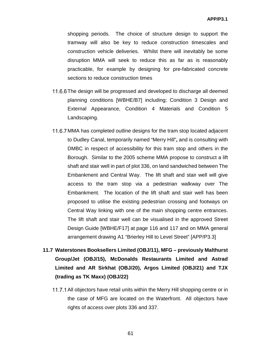shopping periods. The choice of structure design to support the tramway will also be key to reduce construction timescales and construction vehicle deliveries. Whilst there will inevitably be some disruption MMA will seek to reduce this as far as is reasonably practicable, for example by designing for pre-fabricated concrete sections to reduce construction times

- 11.6.6 The design will be progressed and developed to discharge all deemed planning conditions [WBHE/B7] including; Condition 3 Design and External Appearance, Condition 4 Materials and Condition 5 Landscaping.
- 11.6.7 MMA has completed outline designs for the tram stop located adjacent to Dudley Canal, temporarily named "Merry Hill"**,** and is consulting with DMBC in respect of accessibility for this tram stop and others in the Borough. Similar to the 2005 scheme MMA propose to construct a lift shaft and stair well in part of plot 336, on land sandwiched between The Embankment and Central Way. The lift shaft and stair well will give access to the tram stop via a pedestrian walkway over The Embankment. The location of the lift shaft and stair well has been proposed to utilise the existing pedestrian crossing and footways on Central Way linking with one of the main shopping centre entrances. The lift shaft and stair well can be visualised in the approved Street Design Guide [WBHE/F17] at page 116 and 117 and on MMA general arrangement drawing A1 "Brierley Hill to Level Street" [APP/P3.3]

# **11.7 Waterstones Booksellers Limited (OBJ/11), MFG – previously Malthurst Group/Jet (OBJ/15), McDonalds Restaurants Limited and Astrad Limited and AR Sirkhat (OBJ/20), Argos Limited (OBJ/21) and TJX (trading as TK Maxx) (OBJ/22)**

11.7.1 All objectors have retail units within the Merry Hill shopping centre or in the case of MFG are located on the Waterfront. All objectors have rights of access over plots 336 and 337.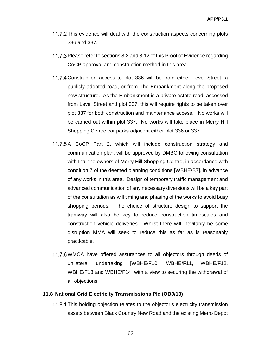- 11.7.2 This evidence will deal with the construction aspects concerning plots 336 and 337.
- 11.7.3 Please refer to sections 8.2 and 8.12 of this Proof of Evidence regarding CoCP approval and construction method in this area.
- 11.7.4 Construction access to plot 336 will be from either Level Street, a publicly adopted road, or from The Embankment along the proposed new structure. As the Embankment is a private estate road, accessed from Level Street and plot 337, this will require rights to be taken over plot 337 for both construction and maintenance access. No works will be carried out within plot 337. No works will take place in Merry Hill Shopping Centre car parks adjacent either plot 336 or 337.
- 11.7.5 A CoCP Part 2, which will include construction strategy and communication plan, will be approved by DMBC following consultation with Intu the owners of Merry Hill Shopping Centre, in accordance with condition 7 of the deemed planning conditions [WBHE/B7], in advance of any works in this area. Design of temporary traffic management and advanced communication of any necessary diversions will be a key part of the consultation as will timing and phasing of the works to avoid busy shopping periods. The choice of structure design to support the tramway will also be key to reduce construction timescales and construction vehicle deliveries. Whilst there will inevitably be some disruption MMA will seek to reduce this as far as is reasonably practicable.
- 11.7.6 WMCA have offered assurances to all objectors through deeds of unilateral undertaking [WBHE/F10, WBHE/F11, WBHE/F12, WBHE/F13 and WBHE/F14] with a view to securing the withdrawal of all objections.

## **11.8 National Grid Electricity Transmissions Plc (OBJ/13)**

This holding objection relates to the objector's electricity transmission assets between Black Country New Road and the existing Metro Depot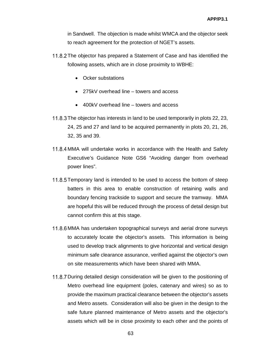in Sandwell. The objection is made whilst WMCA and the objector seek to reach agreement for the protection of NGET's assets.

- 11.8.2 The objector has prepared a Statement of Case and has identified the following assets, which are in close proximity to WBHE:
	- Ocker substations
	- 275kV overhead line towers and access
	- 400kV overhead line towers and access
- 11.8.3 The objector has interests in land to be used temporarily in plots 22, 23, 24, 25 and 27 and land to be acquired permanently in plots 20, 21, 26, 32, 35 and 39.
- 11.8.4 MMA will undertake works in accordance with the Health and Safety Executive's Guidance Note GS6 "Avoiding danger from overhead power lines".
- 11.8.5 Temporary land is intended to be used to access the bottom of steep batters in this area to enable construction of retaining walls and boundary fencing trackside to support and secure the tramway. MMA are hopeful this will be reduced through the process of detail design but cannot confirm this at this stage.
- 11.8.6 MMA has undertaken topographical surveys and aerial drone surveys to accurately locate the objector's assets. This information is being used to develop track alignments to give horizontal and vertical design minimum safe clearance assurance, verified against the objector's own on site measurements which have been shared with MMA.
- 11.8.7 During detailed design consideration will be given to the positioning of Metro overhead line equipment (poles, catenary and wires) so as to provide the maximum practical clearance between the objector's assets and Metro assets. Consideration will also be given in the design to the safe future planned maintenance of Metro assets and the objector's assets which will be in close proximity to each other and the points of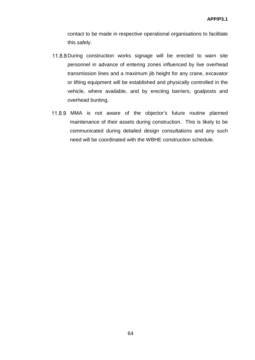contact to be made in respective operational organisations to facilitate this safely.

- 11.8.8 During construction works signage will be erected to warn site personnel in advance of entering zones influenced by live overhead transmission lines and a maximum jib height for any crane, excavator or lifting equipment will be established and physically controlled in the vehicle, where available, and by erecting barriers, goalposts and overhead bunting.
- 11.8.9 MMA is not aware of the objector's future routine planned maintenance of their assets during construction. This is likely to be communicated during detailed design consultations and any such need will be coordinated with the WBHE construction schedule.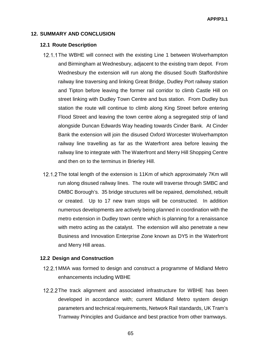#### **12. SUMMARY AND CONCLUSION**

#### **12.1 Route Description**

- 12.1.1 The WBHE will connect with the existing Line 1 between Wolverhampton and Birmingham at Wednesbury, adjacent to the existing tram depot. From Wednesbury the extension will run along the disused South Staffordshire railway line traversing and linking Great Bridge, Dudley Port railway station and Tipton before leaving the former rail corridor to climb Castle Hill on street linking with Dudley Town Centre and bus station. From Dudley bus station the route will continue to climb along King Street before entering Flood Street and leaving the town centre along a segregated strip of land alongside Duncan Edwards Way heading towards Cinder Bank. At Cinder Bank the extension will join the disused Oxford Worcester Wolverhampton railway line travelling as far as the Waterfront area before leaving the railway line to integrate with The Waterfront and Merry Hill Shopping Centre and then on to the terminus in Brierley Hill.
- 12.1.2 The total length of the extension is 11Km of which approximately 7Km will run along disused railway lines. The route will traverse through SMBC and DMBC Borough's. 35 bridge structures will be repaired, demolished, rebuilt or created. Up to 17 new tram stops will be constructed. In addition numerous developments are actively being planned in coordination with the metro extension in Dudley town centre which is planning for a renaissance with metro acting as the catalyst. The extension will also penetrate a new Business and Innovation Enterprise Zone known as DY5 in the Waterfront and Merry Hill areas.

#### **12.2 Design and Construction**

- 12.2.1 MMA was formed to design and construct a programme of Midland Metro enhancements including WBHE
- 12.2.2 The track alignment and associated infrastructure for WBHE has been developed in accordance with; current Midland Metro system design parameters and technical requirements, Network Rail standards, UK Tram's Tramway Principles and Guidance and best practice from other tramways.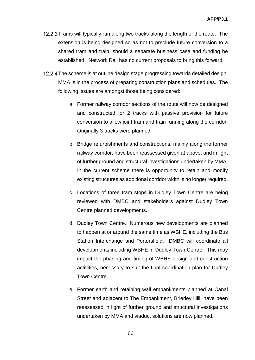- 12.2.3 Trams will typically run along two tracks along the length of the route. The extension is being designed so as not to preclude future conversion to a shared tram and train, should a separate business case and funding be established. Network Rail has no current proposals to bring this forward.
- 12.2.4 The scheme is at outline design stage progressing towards detailed design. MMA is in the process of preparing construction plans and schedules. The following issues are amongst those being considered:
	- a. Former railway corridor sections of the route will now be designed and constructed for 2 tracks with passive provision for future conversion to allow joint tram and train running along the corridor. Originally 3 tracks were planned.
	- b. Bridge refurbishments and constructions, mainly along the former railway corridor, have been reassessed given a) above, and in light of further ground and structural investigations undertaken by MMA. In the current scheme there is opportunity to retain and modify existing structures as additional corridor width is no longer required.
	- c. Locations of three tram stops in Dudley Town Centre are being reviewed with DMBC and stakeholders against Dudley Town Centre planned developments.
	- d. Dudley Town Centre. Numerous new developments are planned to happen at or around the same time as WBHE, including the Bus Station Interchange and Portersfield. DMBC will coordinate all developments including WBHE in Dudley Town Centre. This may impact the phasing and timing of WBHE design and construction activities, necessary to suit the final coordination plan for Dudley Town Centre.
	- e. Former earth and retaining wall embankments planned at Canal Street and adjacent to The Embankment, Brierley Hill, have been reassessed in light of further ground and structural investigations undertaken by MMA and viaduct solutions are now planned.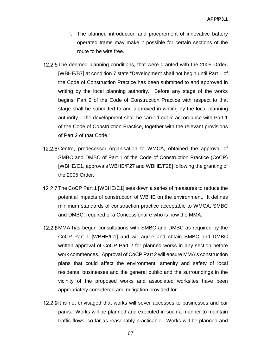- f. The planned introduction and procurement of innovative battery operated trams may make it possible for certain sections of the route to be wire free.
- 12.2.5 The deemed planning conditions, that were granted with the 2005 Order, [WBHE/B7] at condition 7 state "Development shall not begin until Part 1 of the Code of Construction Practice has been submitted to and approved in writing by the local planning authority. Before any stage of the works begins, Part 2 of the Code of Construction Practice with respect to that stage shall be submitted to and approved in writing by the local planning authority. The development shall be carried out in accordance with Part 1 of the Code of Construction Practice, together with the relevant provisions of Part 2 of that Code."
- 12.2.6 Centro, predecessor organisation to WMCA, obtained the approval of SMBC and DMBC of Part 1 of the Code of Construction Practice (CoCP) [WBHE/C1, approvals WBHE/F27 and WBHE/F28] following the granting of the 2005 Order.
- 12.2.7 The CoCP Part 1 [WBHE/C1] sets down a series of measures to reduce the potential impacts of construction of WBHE on the environment. It defines minimum standards of construction practice acceptable to WMCA, SMBC and DMBC, required of a Concessionaire who is now the MMA.
- 12.2.8 MMA has begun consultations with SMBC and DMBC as required by the CoCP Part 1 [WBHE/C1] and will agree and obtain SMBC and DMBC written approval of CoCP Part 2 for planned works in any section before work commences. Approval of CoCP Part 2 will ensure MMA's construction plans that could affect the environment, amenity and safety of local residents, businesses and the general public and the surroundings in the vicinity of the proposed works and associated worksites have been appropriately considered and mitigation provided for.
- 12.2.9 It is not envisaged that works will sever accesses to businesses and car parks. Works will be planned and executed in such a manner to maintain traffic flows, so far as reasonably practicable. Works will be planned and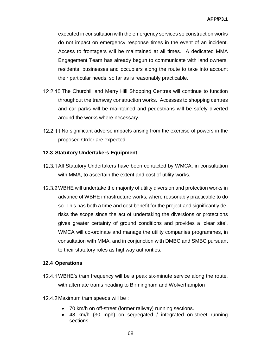executed in consultation with the emergency services so construction works do not impact on emergency response times in the event of an incident. Access to frontagers will be maintained at all times. A dedicated MMA Engagement Team has already begun to communicate with land owners, residents, businesses and occupiers along the route to take into account their particular needs, so far as is reasonably practicable.

- 12.2.10 The Churchill and Merry Hill Shopping Centres will continue to function throughout the tramway construction works. Accesses to shopping centres and car parks will be maintained and pedestrians will be safely diverted around the works where necessary.
- 12.2.11 No significant adverse impacts arising from the exercise of powers in the proposed Order are expected.

## **12.3 Statutory Undertakers Equipment**

- 12.3.1 All Statutory Undertakers have been contacted by WMCA, in consultation with MMA, to ascertain the extent and cost of utility works.
- 12.3.2 WBHE will undertake the majority of utility diversion and protection works in advance of WBHE infrastructure works, where reasonably practicable to do so. This has both a time and cost benefit for the project and significantly derisks the scope since the act of undertaking the diversions or protections gives greater certainty of ground conditions and provides a 'clear site'. WMCA will co-ordinate and manage the utility companies programmes, in consultation with MMA, and in conjunction with DMBC and SMBC pursuant to their statutory roles as highway authorities.

## **12.4 Operations**

- 12.4.1 WBHE's tram frequency will be a peak six-minute service along the route, with alternate trams heading to Birmingham and Wolverhampton
- 12.4.2 Maximum tram speeds will be :
	- 70 km/h on off-street (former railway) running sections.
	- 48 km/h (30 mph) on segregated / integrated on-street running sections.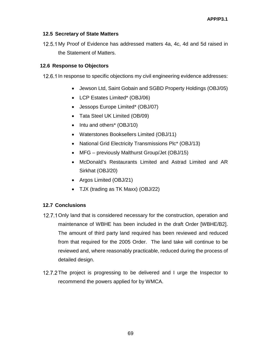## **12.5 Secretary of State Matters**

12.5.1 My Proof of Evidence has addressed matters 4a, 4c, 4d and 5d raised in the Statement of Matters.

## **12.6 Response to Objectors**

12.6.1 In response to specific objections my civil engineering evidence addresses:

- Jewson Ltd, Saint Gobain and SGBD Property Holdings (OBJ/05)
- LCP Estates Limited\* (OBJ/06)
- Jessops Europe Limited\* (OBJ/07)
- Tata Steel UK Limited (OB/09)
- Intu and others<sup>\*</sup> (OBJ/10)
- Waterstones Booksellers Limited (OBJ/11)
- National Grid Electricity Transmissions Plc\* (OBJ/13)
- MFG previously Malthurst Group/Jet (OBJ/15)
- McDonald's Restaurants Limited and Astrad Limited and AR Sirkhat (OBJ/20)
- Argos Limited (OBJ/21)
- TJX (trading as TK Maxx) (OBJ/22)

## **12.7 Conclusions**

- 12.7.1 Only land that is considered necessary for the construction, operation and maintenance of WBHE has been included in the draft Order [WBHE/B2]. The amount of third party land required has been reviewed and reduced from that required for the 2005 Order. The land take will continue to be reviewed and, where reasonably practicable, reduced during the process of detailed design.
- 12.7.2 The project is progressing to be delivered and I urge the Inspector to recommend the powers applied for by WMCA.